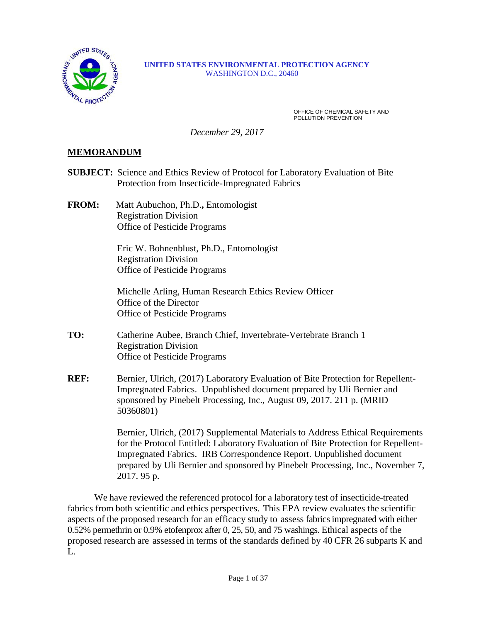

#### **UNITED STATES ENVIRONMENTAL PROTECTION AGENCY** WASHINGTON D.C., 20460

OFFICE OF CHEMICAL SAFETY AND POLLUTION PREVENTION

 *December 29, 2017*

### **MEMORANDUM**

- **SUBJECT:** Science and Ethics Review of Protocol for Laboratory Evaluation of Bite Protection from Insecticide-Impregnated Fabrics
- **FROM:** Matt Aubuchon, Ph.D.**,** Entomologist Registration Division Office of Pesticide Programs

Eric W. Bohnenblust, Ph.D., Entomologist Registration Division Office of Pesticide Programs

Michelle Arling, Human Research Ethics Review Officer Office of the Director Office of Pesticide Programs

- **TO:** Catherine Aubee, Branch Chief, Invertebrate-Vertebrate Branch 1 Registration Division Office of Pesticide Programs
- **REF:** Bernier, Ulrich, (2017) Laboratory Evaluation of Bite Protection for Repellent-Impregnated Fabrics. Unpublished document prepared by Uli Bernier and sponsored by Pinebelt Processing, Inc., August 09, 2017. 211 p. (MRID 50360801)

Bernier, Ulrich, (2017) Supplemental Materials to Address Ethical Requirements for the Protocol Entitled: Laboratory Evaluation of Bite Protection for Repellent-Impregnated Fabrics. IRB Correspondence Report. Unpublished document prepared by Uli Bernier and sponsored by Pinebelt Processing, Inc., November 7, 2017. 95 p.

We have reviewed the referenced protocol for a laboratory test of insecticide-treated fabrics from both scientific and ethics perspectives. This EPA review evaluates the scientific aspects of the proposed research for an efficacy study to assess fabrics impregnated with either 0.52% permethrin or 0.9% etofenprox after 0, 25, 50, and 75 washings. Ethical aspects of the proposed research are assessed in terms of the standards defined by 40 CFR 26 subparts K and L.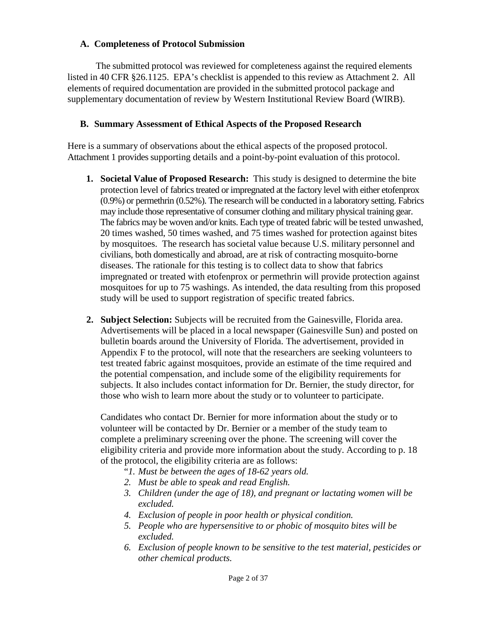## **A. Completeness of Protocol Submission**

The submitted protocol was reviewed for completeness against the required elements listed in 40 CFR §26.1125. EPA's checklist is appended to this review as Attachment 2. All elements of required documentation are provided in the submitted protocol package and supplementary documentation of review by Western Institutional Review Board (WIRB).

# **B. Summary Assessment of Ethical Aspects of the Proposed Research**

Here is a summary of observations about the ethical aspects of the proposed protocol. Attachment 1 provides supporting details and a point-by-point evaluation of this protocol.

- **1. Societal Value of Proposed Research:** This study is designed to determine the bite protection level of fabrics treated or impregnated at the factory level with either etofenprox (0.9%) or permethrin (0.52%). The research will be conducted in a laboratory setting. Fabrics may include those representative of consumer clothing and military physical training gear. The fabrics may be woven and/or knits. Each type of treated fabric will be tested unwashed, 20 times washed, 50 times washed, and 75 times washed for protection against bites by mosquitoes. The research has societal value because U.S. military personnel and civilians, both domestically and abroad, are at risk of contracting mosquito-borne diseases. The rationale for this testing is to collect data to show that fabrics impregnated or treated with etofenprox or permethrin will provide protection against mosquitoes for up to 75 washings. As intended, the data resulting from this proposed study will be used to support registration of specific treated fabrics.
- **2. Subject Selection:** Subjects will be recruited from the Gainesville, Florida area. Advertisements will be placed in a local newspaper (Gainesville Sun) and posted on bulletin boards around the University of Florida. The advertisement, provided in Appendix F to the protocol, will note that the researchers are seeking volunteers to test treated fabric against mosquitoes, provide an estimate of the time required and the potential compensation, and include some of the eligibility requirements for subjects. It also includes contact information for Dr. Bernier, the study director, for those who wish to learn more about the study or to volunteer to participate.

Candidates who contact Dr. Bernier for more information about the study or to volunteer will be contacted by Dr. Bernier or a member of the study team to complete a preliminary screening over the phone. The screening will cover the eligibility criteria and provide more information about the study. According to p. 18 of the protocol, the eligibility criteria are as follows:

- "*1. Must be between the ages of 18-62 years old.*
- *2. Must be able to speak and read English.*
- *3. Children (under the age of 18), and pregnant or lactating women will be excluded.*
- *4. Exclusion of people in poor health or physical condition.*
- *5. People who are hypersensitive to or phobic of mosquito bites will be excluded.*
- *6. Exclusion of people known to be sensitive to the test material, pesticides or other chemical products.*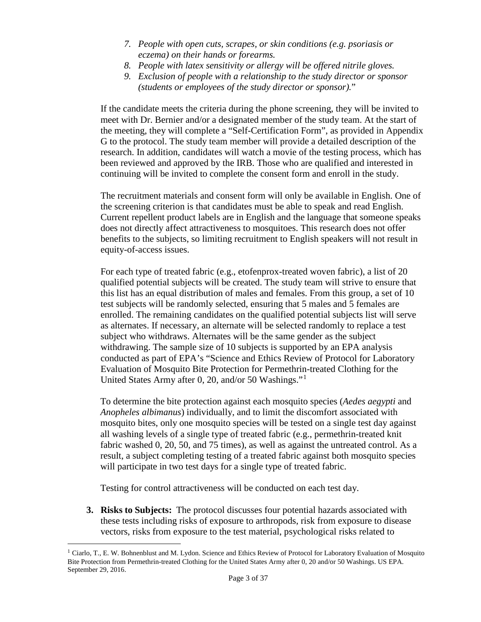- *7. People with open cuts, scrapes, or skin conditions (e.g. psoriasis or eczema) on their hands or forearms.*
- *8. People with latex sensitivity or allergy will be offered nitrile gloves.*
- *9. Exclusion of people with a relationship to the study director or sponsor (students or employees of the study director or sponsor).*"

If the candidate meets the criteria during the phone screening, they will be invited to meet with Dr. Bernier and/or a designated member of the study team. At the start of the meeting, they will complete a "Self-Certification Form", as provided in Appendix G to the protocol. The study team member will provide a detailed description of the research. In addition, candidates will watch a movie of the testing process, which has been reviewed and approved by the IRB. Those who are qualified and interested in continuing will be invited to complete the consent form and enroll in the study.

The recruitment materials and consent form will only be available in English. One of the screening criterion is that candidates must be able to speak and read English. Current repellent product labels are in English and the language that someone speaks does not directly affect attractiveness to mosquitoes. This research does not offer benefits to the subjects, so limiting recruitment to English speakers will not result in equity-of-access issues.

For each type of treated fabric (e.g., etofenprox-treated woven fabric), a list of 20 qualified potential subjects will be created. The study team will strive to ensure that this list has an equal distribution of males and females. From this group, a set of 10 test subjects will be randomly selected, ensuring that 5 males and 5 females are enrolled. The remaining candidates on the qualified potential subjects list will serve as alternates. If necessary, an alternate will be selected randomly to replace a test subject who withdraws. Alternates will be the same gender as the subject withdrawing. The sample size of 10 subjects is supported by an EPA analysis conducted as part of EPA's "Science and Ethics Review of Protocol for Laboratory Evaluation of Mosquito Bite Protection for Permethrin-treated Clothing for the United States Army after 0, 20, and/or 50 Washings."[1](#page-2-0)

To determine the bite protection against each mosquito species (*Aedes aegypti* and *Anopheles albimanus*) individually, and to limit the discomfort associated with mosquito bites, only one mosquito species will be tested on a single test day against all washing levels of a single type of treated fabric (e.g., permethrin-treated knit fabric washed 0, 20, 50, and 75 times), as well as against the untreated control. As a result, a subject completing testing of a treated fabric against both mosquito species will participate in two test days for a single type of treated fabric.

Testing for control attractiveness will be conducted on each test day.

**3. Risks to Subjects:** The protocol discusses four potential hazards associated with these tests including risks of exposure to arthropods, risk from exposure to disease vectors, risks from exposure to the test material, psychological risks related to

<span id="page-2-0"></span> <sup>1</sup> Ciarlo, T., E. W. Bohnenblust and M. Lydon. Science and Ethics Review of Protocol for Laboratory Evaluation of Mosquito Bite Protection from Permethrin-treated Clothing for the United States Army after 0, 20 and/or 50 Washings. US EPA. September 29, 2016.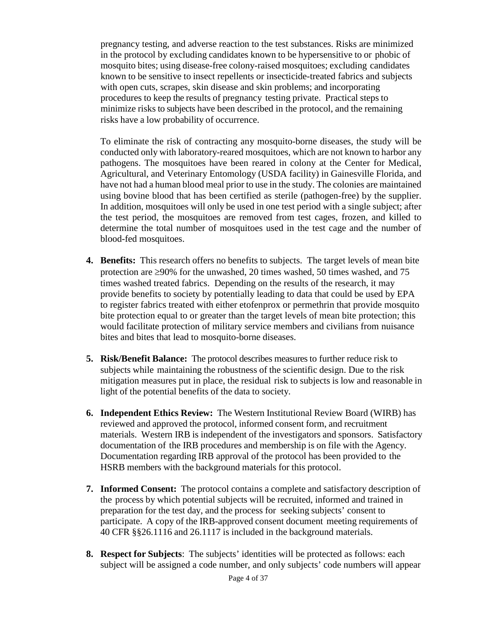pregnancy testing, and adverse reaction to the test substances. Risks are minimized in the protocol by excluding candidates known to be hypersensitive to or phobic of mosquito bites; using disease-free colony-raised mosquitoes; excluding candidates known to be sensitive to insect repellents or insecticide-treated fabrics and subjects with open cuts, scrapes, skin disease and skin problems; and incorporating procedures to keep the results of pregnancy testing private. Practical steps to minimize risks to subjects have been described in the protocol, and the remaining risks have a low probability of occurrence.

To eliminate the risk of contracting any mosquito-borne diseases, the study will be conducted only with laboratory-reared mosquitoes, which are not known to harbor any pathogens. The mosquitoes have been reared in colony at the Center for Medical, Agricultural, and Veterinary Entomology (USDA facility) in Gainesville Florida, and have not had a human blood meal prior to use in the study. The colonies are maintained using bovine blood that has been certified as sterile (pathogen-free) by the supplier. In addition, mosquitoes will only be used in one test period with a single subject; after the test period, the mosquitoes are removed from test cages, frozen, and killed to determine the total number of mosquitoes used in the test cage and the number of blood-fed mosquitoes.

- **4. Benefits:** This research offers no benefits to subjects. The target levels of mean bite protection are ≥90% for the unwashed, 20 times washed, 50 times washed, and 75 times washed treated fabrics. Depending on the results of the research, it may provide benefits to society by potentially leading to data that could be used by EPA to register fabrics treated with either etofenprox or permethrin that provide mosquito bite protection equal to or greater than the target levels of mean bite protection; this would facilitate protection of military service members and civilians from nuisance bites and bites that lead to mosquito-borne diseases.
- **5. Risk/Benefit Balance:** The protocol describes measuresto further reduce risk to subjects while maintaining the robustness of the scientific design. Due to the risk mitigation measures put in place, the residual risk to subjects is low and reasonable in light of the potential benefits of the data to society.
- **6. Independent Ethics Review:** The Western Institutional Review Board (WIRB) has reviewed and approved the protocol, informed consent form, and recruitment materials. Western IRB is independent of the investigators and sponsors. Satisfactory documentation of the IRB procedures and membership is on file with the Agency. Documentation regarding IRB approval of the protocol has been provided to the HSRB members with the background materials for this protocol.
- **7. Informed Consent:** The protocol contains a complete and satisfactory description of the process by which potential subjects will be recruited, informed and trained in preparation for the test day, and the process for seeking subjects' consent to participate. A copy of the IRB-approved consent document meeting requirements of 40 CFR §§26.1116 and 26.1117 is included in the background materials.
- **8. Respect for Subjects**: The subjects' identities will be protected as follows: each subject will be assigned a code number, and only subjects' code numbers will appear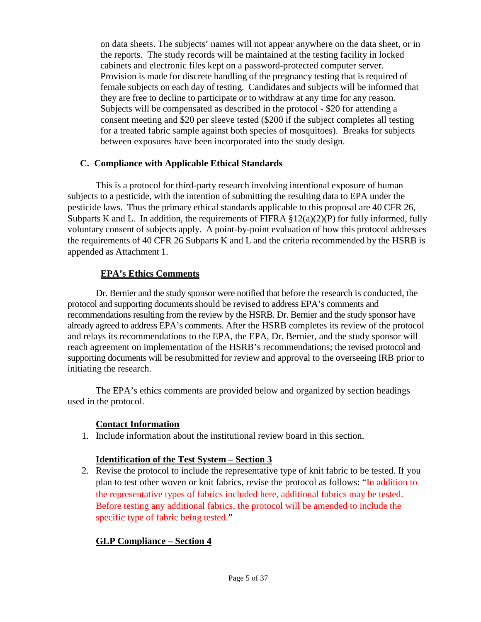on data sheets. The subjects' names will not appear anywhere on the data sheet, or in the reports. The study records will be maintained at the testing facility in locked cabinets and electronic files kept on a password-protected computer server. Provision is made for discrete handling of the pregnancy testing that is required of female subjects on each day of testing. Candidates and subjects will be informed that they are free to decline to participate or to withdraw at any time for any reason. Subjects will be compensated as described in the protocol - \$20 for attending a consent meeting and \$20 per sleeve tested (\$200 if the subject completes all testing for a treated fabric sample against both species of mosquitoes). Breaks for subjects between exposures have been incorporated into the study design.

## **C. Compliance with Applicable Ethical Standards**

This is a protocol for third-party research involving intentional exposure of human subjects to a pesticide, with the intention of submitting the resulting data to EPA under the pesticide laws. Thus the primary ethical standards applicable to this proposal are 40 CFR 26, Subparts K and L. In addition, the requirements of FIFRA  $\S 12(a)(2)(P)$  for fully informed, fully voluntary consent of subjects apply. A point-by-point evaluation of how this protocol addresses the requirements of 40 CFR 26 Subparts K and L and the criteria recommended by the HSRB is appended as Attachment 1.

## **EPA's Ethics Comments**

Dr. Bernier and the study sponsor were notified that before the research is conducted, the protocol and supporting documents should be revised to address EPA's comments and recommendations resulting from the review by the HSRB. Dr. Bernier and the study sponsor have already agreed to address EPA's comments. After the HSRB completes its review of the protocol and relays its recommendations to the EPA, the EPA, Dr. Bernier, and the study sponsor will reach agreement on implementation of the HSRB's recommendations; the revised protocol and supporting documents will be resubmitted for review and approval to the overseeing IRB prior to initiating the research.

The EPA's ethics comments are provided below and organized by section headings used in the protocol.

## **Contact Information**

1. Include information about the institutional review board in this section.

## **Identification of the Test System – Section 3**

2. Revise the protocol to include the representative type of knit fabric to be tested. If you plan to test other woven or knit fabrics, revise the protocol as follows: "In addition to the representative types of fabrics included here, additional fabrics may be tested. Before testing any additional fabrics, the protocol will be amended to include the specific type of fabric being tested."

## **GLP Compliance – Section 4**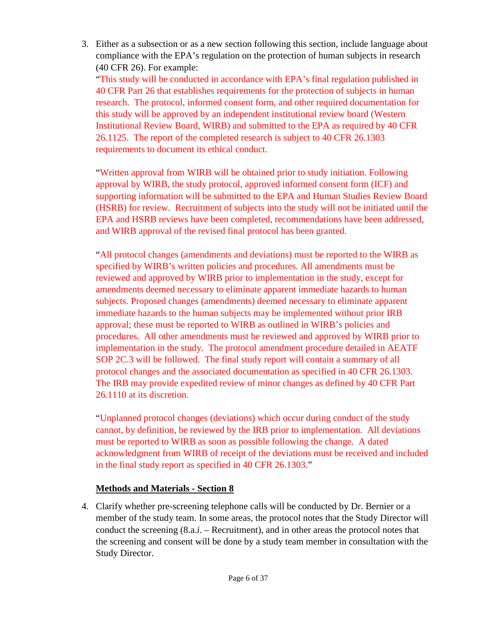3. Either as a subsection or as a new section following this section, include language about compliance with the EPA's regulation on the protection of human subjects in research (40 CFR 26). For example:

"This study will be conducted in accordance with EPA's final regulation published in 40 CFR Part 26 that establishes requirements for the protection of subjects in human research. The protocol, informed consent form, and other required documentation for this study will be approved by an independent institutional review board (Western Institutional Review Board, WIRB) and submitted to the EPA as required by 40 CFR 26.1125. The report of the completed research is subject to 40 CFR 26.1303 requirements to document its ethical conduct.

"Written approval from WIRB will be obtained prior to study initiation. Following approval by WIRB, the study protocol, approved informed consent form (ICF) and supporting information will be submitted to the EPA and Human Studies Review Board (HSRB) for review. Recruitment of subjects into the study will not be initiated until the EPA and HSRB reviews have been completed, recommendations have been addressed, and WIRB approval of the revised final protocol has been granted.

"All protocol changes (amendments and deviations) must be reported to the WIRB as specified by WIRB's written policies and procedures. All amendments must be reviewed and approved by WIRB prior to implementation in the study, except for amendments deemed necessary to eliminate apparent immediate hazards to human subjects. Proposed changes (amendments) deemed necessary to eliminate apparent immediate hazards to the human subjects may be implemented without prior IRB approval; these must be reported to WIRB as outlined in WIRB's policies and procedures. All other amendments must be reviewed and approved by WIRB prior to implementation in the study. The protocol amendment procedure detailed in AEATF SOP 2C.3 will be followed. The final study report will contain a summary of all protocol changes and the associated documentation as specified in 40 CFR 26.1303. The IRB may provide expedited review of minor changes as defined by 40 CFR Part 26.1110 at its discretion.

"Unplanned protocol changes (deviations) which occur during conduct of the study cannot, by definition, be reviewed by the IRB prior to implementation. All deviations must be reported to WIRB as soon as possible following the change. A dated acknowledgment from WIRB of receipt of the deviations must be received and included in the final study report as specified in 40 CFR 26.1303."

## **Methods and Materials - Section 8**

4. Clarify whether pre-screening telephone calls will be conducted by Dr. Bernier or a member of the study team. In some areas, the protocol notes that the Study Director will conduct the screening (8.a.*i.* – Recruitment), and in other areas the protocol notes that the screening and consent will be done by a study team member in consultation with the Study Director.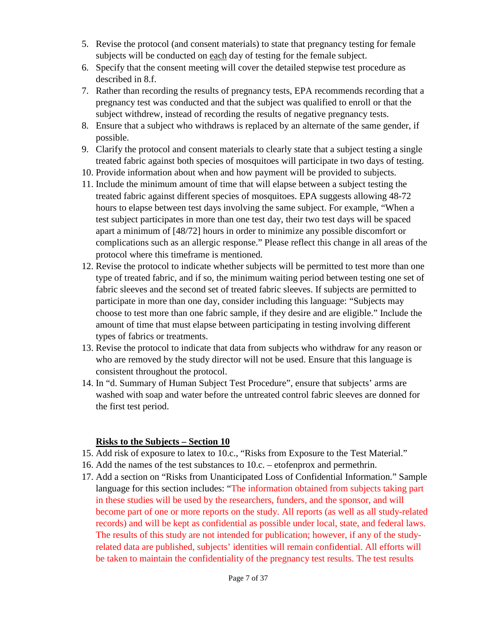- 5. Revise the protocol (and consent materials) to state that pregnancy testing for female subjects will be conducted on each day of testing for the female subject.
- 6. Specify that the consent meeting will cover the detailed stepwise test procedure as described in 8.f.
- 7. Rather than recording the results of pregnancy tests, EPA recommends recording that a pregnancy test was conducted and that the subject was qualified to enroll or that the subject withdrew, instead of recording the results of negative pregnancy tests.
- 8. Ensure that a subject who withdraws is replaced by an alternate of the same gender, if possible.
- 9. Clarify the protocol and consent materials to clearly state that a subject testing a single treated fabric against both species of mosquitoes will participate in two days of testing.
- 10. Provide information about when and how payment will be provided to subjects.
- 11. Include the minimum amount of time that will elapse between a subject testing the treated fabric against different species of mosquitoes. EPA suggests allowing 48-72 hours to elapse between test days involving the same subject. For example, "When a test subject participates in more than one test day, their two test days will be spaced apart a minimum of [48/72] hours in order to minimize any possible discomfort or complications such as an allergic response." Please reflect this change in all areas of the protocol where this timeframe is mentioned.
- 12. Revise the protocol to indicate whether subjects will be permitted to test more than one type of treated fabric, and if so, the minimum waiting period between testing one set of fabric sleeves and the second set of treated fabric sleeves. If subjects are permitted to participate in more than one day, consider including this language: "Subjects may choose to test more than one fabric sample, if they desire and are eligible." Include the amount of time that must elapse between participating in testing involving different types of fabrics or treatments.
- 13. Revise the protocol to indicate that data from subjects who withdraw for any reason or who are removed by the study director will not be used. Ensure that this language is consistent throughout the protocol.
- 14. In "d. Summary of Human Subject Test Procedure", ensure that subjects' arms are washed with soap and water before the untreated control fabric sleeves are donned for the first test period.

## **Risks to the Subjects – Section 10**

- 15. Add risk of exposure to latex to 10.c., "Risks from Exposure to the Test Material."
- 16. Add the names of the test substances to 10.c. etofenprox and permethrin.
- 17. Add a section on "Risks from Unanticipated Loss of Confidential Information." Sample language for this section includes: "The information obtained from subjects taking part in these studies will be used by the researchers, funders, and the sponsor, and will become part of one or more reports on the study. All reports (as well as all study-related records) and will be kept as confidential as possible under local, state, and federal laws. The results of this study are not intended for publication; however, if any of the studyrelated data are published, subjects' identities will remain confidential. All efforts will be taken to maintain the confidentiality of the pregnancy test results. The test results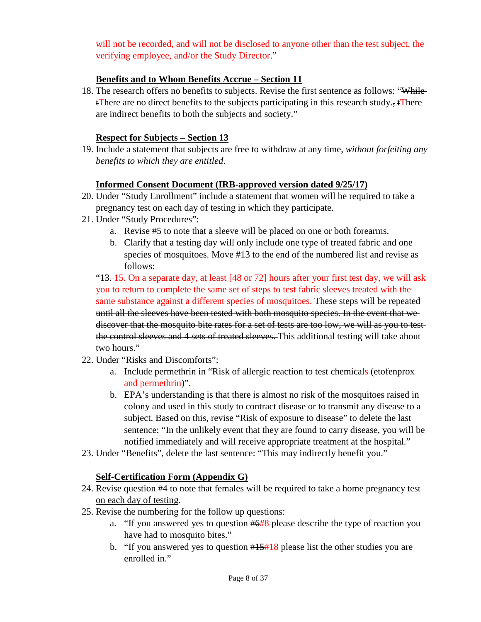will not be recorded, and will not be disclosed to anyone other than the test subject, the verifying employee, and/or the Study Director."

# **Benefits and to Whom Benefits Accrue – Section 11**

18. The research offers no benefits to subjects. Revise the first sentence as follows: "While tThere are no direct benefits to the subjects participating in this research study**.**, tThere are indirect benefits to both the subjects and society."

# **Respect for Subjects – Section 13**

19. Include a statement that subjects are free to withdraw at any time, *without forfeiting any benefits to which they are entitled*.

# **Informed Consent Document (IRB-approved version dated 9/25/17)**

- 20. Under "Study Enrollment" include a statement that women will be required to take a pregnancy test on each day of testing in which they participate.
- 21. Under "Study Procedures":
	- a. Revise #5 to note that a sleeve will be placed on one or both forearms.
	- b. Clarify that a testing day will only include one type of treated fabric and one species of mosquitoes. Move #13 to the end of the numbered list and revise as follows:

" $13$ , 15. On a separate day, at least [48 or 72] hours after your first test day, we will ask you to return to complete the same set of steps to test fabric sleeves treated with the same substance against a different species of mosquitoes. These steps will be repeated until all the sleeves have been tested with both mosquito species. In the event that we discover that the mosquito bite rates for a set of tests are too low, we will as you to test the control sleeves and 4 sets of treated sleeves. This additional testing will take about two hours."

- 22. Under "Risks and Discomforts":
	- a. Include permethrin in "Risk of allergic reaction to test chemicals (etofenprox and permethrin)".
	- b. EPA's understanding is that there is almost no risk of the mosquitoes raised in colony and used in this study to contract disease or to transmit any disease to a subject. Based on this, revise "Risk of exposure to disease" to delete the last sentence: "In the unlikely event that they are found to carry disease, you will be notified immediately and will receive appropriate treatment at the hospital."
- 23. Under "Benefits", delete the last sentence: "This may indirectly benefit you."

## **Self-Certification Form (Appendix G)**

- 24. Revise question #4 to note that females will be required to take a home pregnancy test on each day of testing.
- 25. Revise the numbering for the follow up questions:
	- a. "If you answered yes to question #6#8 please describe the type of reaction you have had to mosquito bites."
	- b. "If you answered yes to question #15#18 please list the other studies you are enrolled in."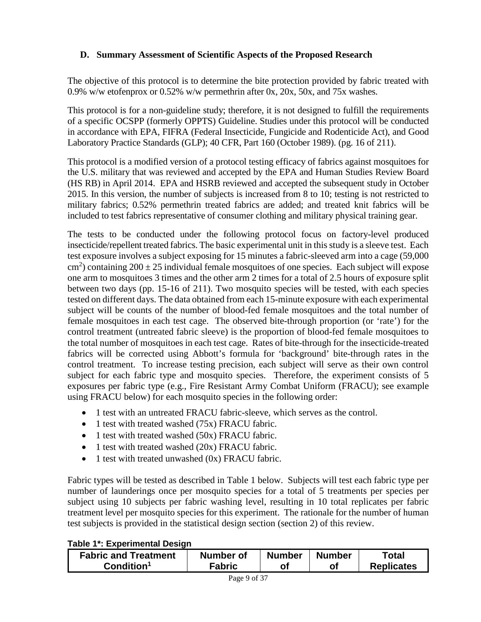# **D. Summary Assessment of Scientific Aspects of the Proposed Research**

The objective of this protocol is to determine the bite protection provided by fabric treated with 0.9% w/w etofenprox or 0.52% w/w permethrin after 0x, 20x, 50x, and 75x washes.

This protocol is for a non-guideline study; therefore, it is not designed to fulfill the requirements of a specific OCSPP (formerly OPPTS) Guideline. Studies under this protocol will be conducted in accordance with EPA, FIFRA (Federal Insecticide, Fungicide and Rodenticide Act), and Good Laboratory Practice Standards (GLP); 40 CFR, Part 160 (October 1989). (pg. 16 of 211).

This protocol is a modified version of a protocol testing efficacy of fabrics against mosquitoes for the U.S. military that was reviewed and accepted by the EPA and Human Studies Review Board (HS RB) in April 2014. EPA and HSRB reviewed and accepted the subsequent study in October 2015. In this version, the number of subjects is increased from 8 to 10; testing is not restricted to military fabrics; 0.52% permethrin treated fabrics are added; and treated knit fabrics will be included to test fabrics representative of consumer clothing and military physical training gear.

The tests to be conducted under the following protocol focus on factory-level produced insecticide/repellent treated fabrics. The basic experimental unit in this study is a sleeve test. Each test exposure involves a subject exposing for 15 minutes a fabric-sleeved arm into a cage (59,000  $\text{cm}^2$ ) containing 200  $\pm$  25 individual female mosquitoes of one species. Each subject will expose one arm to mosquitoes 3 times and the other arm 2 times for a total of 2.5 hours of exposure split between two days (pp. 15-16 of 211). Two mosquito species will be tested, with each species tested on different days. The data obtained from each 15-minute exposure with each experimental subject will be counts of the number of blood-fed female mosquitoes and the total number of female mosquitoes in each test cage. The observed bite-through proportion (or 'rate') for the control treatment (untreated fabric sleeve) is the proportion of blood-fed female mosquitoes to the total number of mosquitoes in each test cage. Rates of bite-through for the insecticide-treated fabrics will be corrected using Abbott's formula for 'background' bite-through rates in the control treatment. To increase testing precision, each subject will serve as their own control subject for each fabric type and mosquito species. Therefore, the experiment consists of 5 exposures per fabric type (e.g., Fire Resistant Army Combat Uniform (FRACU); see example using FRACU below) for each mosquito species in the following order:

- 1 test with an untreated FRACU fabric-sleeve, which serves as the control.
- 1 test with treated washed (75x) FRACU fabric.
- 1 test with treated washed (50x) FRACU fabric.
- 1 test with treated washed (20x) FRACU fabric.
- 1 test with treated unwashed  $(0x)$  FRACU fabric.

Fabric types will be tested as described in Table 1 below. Subjects will test each fabric type per number of launderings once per mosquito species for a total of 5 treatments per species per subject using 10 subjects per fabric washing level, resulting in 10 total replicates per fabric treatment level per mosquito species for this experiment. The rationale for the number of human test subjects is provided in the statistical design section (section 2) of this review.

|  | <b>Table 1*: Experimental Design</b> |  |
|--|--------------------------------------|--|
|--|--------------------------------------|--|

| <b>Fabric and Treatment</b> | Number of | <b>Number</b> | <b>Number</b> | ™otal             |
|-----------------------------|-----------|---------------|---------------|-------------------|
| Condition <sup>1</sup>      | Fabric    |               | Οt            | <b>Replicates</b> |
|                             |           |               |               |                   |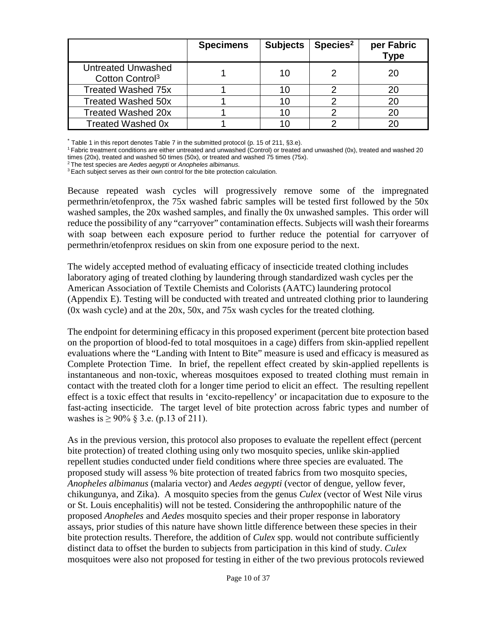|                                                          | <b>Specimens</b> | <b>Subjects</b> | Species <sup>2</sup> | per Fabric<br><b>Type</b> |
|----------------------------------------------------------|------------------|-----------------|----------------------|---------------------------|
| <b>Untreated Unwashed</b><br>Cotton Control <sup>3</sup> |                  | 10              |                      | 20                        |
| <b>Treated Washed 75x</b>                                |                  |                 |                      |                           |
| <b>Treated Washed 50x</b>                                |                  |                 |                      |                           |
| <b>Treated Washed 20x</b>                                |                  |                 |                      |                           |
| <b>Treated Washed 0x</b>                                 |                  |                 |                      |                           |

\* Table 1 in this report denotes Table 7 in the submitted protocol (p. 15 of 211, §3.e).<br>1 Fabric treatment conditions are either untreated and unwashed (Control) or treated and unwashed (0x), treated and washed 20 times (20x), treated and washed 50 times (50x), or treated and washed 75 times (75x).

<sup>2</sup> The test species are *Aedes aegypti* or *Anopheles albimanus.*

 $3$  Each subject serves as their own control for the bite protection calculation.

Because repeated wash cycles will progressively remove some of the impregnated permethrin/etofenprox, the 75x washed fabric samples will be tested first followed by the 50x washed samples, the 20x washed samples, and finally the 0x unwashed samples. This order will reduce the possibility of any "carryover" contamination effects. Subjects will wash their forearms with soap between each exposure period to further reduce the potential for carryover of permethrin/etofenprox residues on skin from one exposure period to the next.

The widely accepted method of evaluating efficacy of insecticide treated clothing includes laboratory aging of treated clothing by laundering through standardized wash cycles per the American Association of Textile Chemists and Colorists (AATC) laundering protocol (Appendix E). Testing will be conducted with treated and untreated clothing prior to laundering (0x wash cycle) and at the 20x, 50x, and 75x wash cycles for the treated clothing.

The endpoint for determining efficacy in this proposed experiment (percent bite protection based on the proportion of blood-fed to total mosquitoes in a cage) differs from skin-applied repellent evaluations where the "Landing with Intent to Bite" measure is used and efficacy is measured as Complete Protection Time. In brief, the repellent effect created by skin-applied repellents is instantaneous and non-toxic, whereas mosquitoes exposed to treated clothing must remain in contact with the treated cloth for a longer time period to elicit an effect. The resulting repellent effect is a toxic effect that results in 'excito-repellency' or incapacitation due to exposure to the fast-acting insecticide. The target level of bite protection across fabric types and number of washes is ≥ 90% § 3.e. (p.13 of 211).

As in the previous version, this protocol also proposes to evaluate the repellent effect (percent bite protection) of treated clothing using only two mosquito species, unlike skin-applied repellent studies conducted under field conditions where three species are evaluated. The proposed study will assess % bite protection of treated fabrics from two mosquito species, *Anopheles albimanus* (malaria vector) and *Aedes aegypti* (vector of dengue, yellow fever, chikungunya, and Zika). A mosquito species from the genus *Culex* (vector of West Nile virus or St. Louis encephalitis) will not be tested. Considering the anthropophilic nature of the proposed *Anopheles* and *Aedes* mosquito species and their proper response in laboratory assays, prior studies of this nature have shown little difference between these species in their bite protection results. Therefore, the addition of *Culex* spp. would not contribute sufficiently distinct data to offset the burden to subjects from participation in this kind of study. *Culex* mosquitoes were also not proposed for testing in either of the two previous protocols reviewed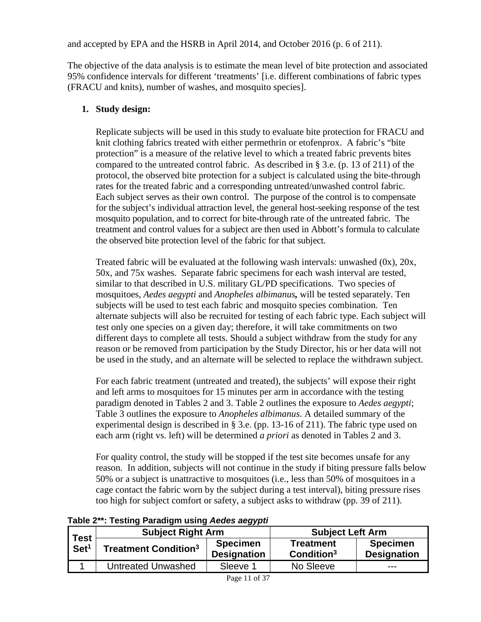and accepted by EPA and the HSRB in April 2014, and October 2016 (p. 6 of 211).

The objective of the data analysis is to estimate the mean level of bite protection and associated 95% confidence intervals for different 'treatments' [i.e. different combinations of fabric types (FRACU and knits), number of washes, and mosquito species].

## **1. Study design:**

Replicate subjects will be used in this study to evaluate bite protection for FRACU and knit clothing fabrics treated with either permethrin or etofenprox. A fabric's "bite protection" is a measure of the relative level to which a treated fabric prevents bites compared to the untreated control fabric. As described in § 3.e. (p. 13 of 211) of the protocol, the observed bite protection for a subject is calculated using the bite-through rates for the treated fabric and a corresponding untreated/unwashed control fabric. Each subject serves as their own control. The purpose of the control is to compensate for the subject's individual attraction level, the general host-seeking response of the test mosquito population, and to correct for bite-through rate of the untreated fabric. The treatment and control values for a subject are then used in Abbott's formula to calculate the observed bite protection level of the fabric for that subject.

Treated fabric will be evaluated at the following wash intervals: unwashed (0x), 20x, 50x, and 75x washes. Separate fabric specimens for each wash interval are tested, similar to that described in U.S. military GL/PD specifications. Two species of mosquitoes, *Aedes aegypti* and *Anopheles albimanus,* will be tested separately. Ten subjects will be used to test each fabric and mosquito species combination. Ten alternate subjects will also be recruited for testing of each fabric type. Each subject will test only one species on a given day; therefore, it will take commitments on two different days to complete all tests. Should a subject withdraw from the study for any reason or be removed from participation by the Study Director, his or her data will not be used in the study, and an alternate will be selected to replace the withdrawn subject.

For each fabric treatment (untreated and treated), the subjects' will expose their right and left arms to mosquitoes for 15 minutes per arm in accordance with the testing paradigm denoted in Tables 2 and 3. Table 2 outlines the exposure to *Aedes aegypti*; Table 3 outlines the exposure to *Anopheles albimanus*. A detailed summary of the experimental design is described in § 3.e. (pp. 13-16 of 211). The fabric type used on each arm (right vs. left) will be determined *a priori* as denoted in Tables 2 and 3.

For quality control, the study will be stopped if the test site becomes unsafe for any reason. In addition, subjects will not continue in the study if biting pressure falls below 50% or a subject is unattractive to mosquitoes (i.e., less than 50% of mosquitoes in a cage contact the fabric worn by the subject during a test interval), biting pressure rises too high for subject comfort or safety, a subject asks to withdraw (pp. 39 of 211).

| <b>Test</b>      | <b>Subject Right Arm</b>                | --                                    | <b>Subject Left Arm</b>                    |                                       |  |  |  |
|------------------|-----------------------------------------|---------------------------------------|--------------------------------------------|---------------------------------------|--|--|--|
| Set <sup>1</sup> | <b>Treatment Condition</b> <sup>3</sup> | <b>Specimen</b><br><b>Designation</b> | <b>Treatment</b><br>Condition <sup>3</sup> | <b>Specimen</b><br><b>Designation</b> |  |  |  |
|                  | Untreated Unwashed                      | Sleeve 1                              | No Sleeve                                  | ---                                   |  |  |  |

**Table 2\*\*: Testing Paradigm using** *Aedes aegypti*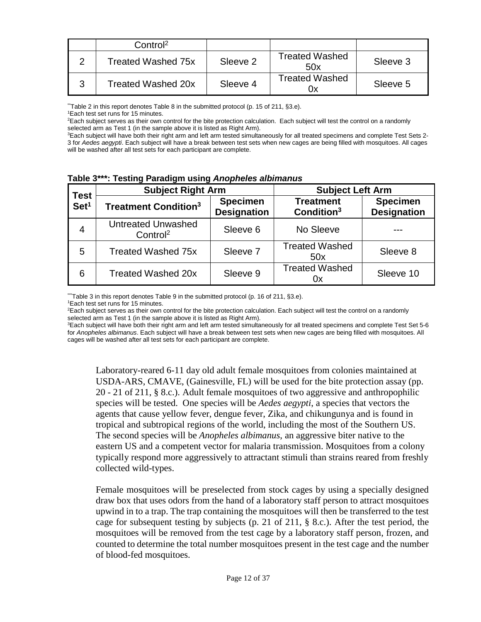|   | Control <sup>2</sup> |          |                              |          |
|---|----------------------|----------|------------------------------|----------|
|   | Treated Washed 75x   | Sleeve 2 | <b>Treated Washed</b><br>50x | Sleeve 3 |
| 3 | Treated Washed 20x   | Sleeve 4 | <b>Treated Washed</b><br>0x  | Sleeve 5 |

\*\*Table 2 in this report denotes Table 8 in the submitted protocol (p. 15 of 211, §3.e). 1

Each test set runs for 15 minutes.

2 Each subject serves as their own control for the bite protection calculation. Each subject will test the control on a randomly selected arm as Test 1 (in the sample above it is listed as Right Arm).

3 Each subject will have both their right arm and left arm tested simultaneously for all treated specimens and complete Test Sets 2- 3 for *Aedes aegypti*. Each subject will have a break between test sets when new cages are being filled with mosquitoes. All cages will be washed after all test sets for each participant are complete.

| <b>Test</b>      | <b>Subject Right Arm</b>                          |                                       | <b>Subject Left Arm</b>                    |                                       |  |  |
|------------------|---------------------------------------------------|---------------------------------------|--------------------------------------------|---------------------------------------|--|--|
| Set <sup>1</sup> | <b>Treatment Condition<sup>3</sup></b>            | <b>Specimen</b><br><b>Designation</b> | <b>Treatment</b><br>Condition <sup>3</sup> | <b>Specimen</b><br><b>Designation</b> |  |  |
| $\overline{4}$   | <b>Untreated Unwashed</b><br>Control <sup>2</sup> | Sleeve 6                              | No Sleeve                                  |                                       |  |  |
| 5                | <b>Treated Washed 75x</b>                         | Sleeve 7                              | <b>Treated Washed</b><br>50x               | Sleeve 8                              |  |  |
| 6                | <b>Treated Washed 20x</b>                         | Sleeve 9                              | <b>Treated Washed</b><br>0x                | Sleeve 10                             |  |  |

|  |  | Table 3***: Testing Paradigm using Anopheles albimanus |  |
|--|--|--------------------------------------------------------|--|
|  |  |                                                        |  |

\*\*\*Table 3 in this report denotes Table 9 in the submitted protocol (p. 16 of 211,  $\S 3.e$ ).

Each test set runs for 15 minutes.

2 Each subject serves as their own control for the bite protection calculation. Each subject will test the control on a randomly selected arm as Test 1 (in the sample above it is listed as Right Arm).

3 Each subject will have both their right arm and left arm tested simultaneously for all treated specimens and complete Test Set 5-6 for *Anopheles albimanus*. Each subject will have a break between test sets when new cages are being filled with mosquitoes. All cages will be washed after all test sets for each participant are complete.

Laboratory-reared 6-11 day old adult female mosquitoes from colonies maintained at USDA-ARS, CMAVE, (Gainesville, FL) will be used for the bite protection assay (pp. 20 - 21 of 211, § 8.c.). Adult female mosquitoes of two aggressive and anthropophilic species will be tested. One species will be *Aedes aegypti*, a species that vectors the agents that cause yellow fever, dengue fever, Zika, and chikungunya and is found in tropical and subtropical regions of the world, including the most of the Southern US. The second species will be *Anopheles albimanus*, an aggressive biter native to the eastern US and a competent vector for malaria transmission. Mosquitoes from a colony typically respond more aggressively to attractant stimuli than strains reared from freshly collected wild-types.

Female mosquitoes will be preselected from stock cages by using a specially designed draw box that uses odors from the hand of a laboratory staff person to attract mosquitoes upwind in to a trap. The trap containing the mosquitoes will then be transferred to the test cage for subsequent testing by subjects (p. 21 of 211, § 8.c.). After the test period, the mosquitoes will be removed from the test cage by a laboratory staff person, frozen, and counted to determine the total number mosquitoes present in the test cage and the number of blood-fed mosquitoes.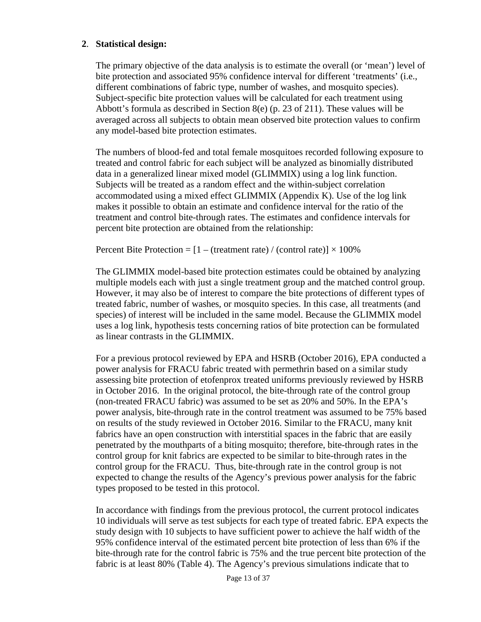### **2**. **Statistical design:**

The primary objective of the data analysis is to estimate the overall (or 'mean') level of bite protection and associated 95% confidence interval for different 'treatments' (i.e., different combinations of fabric type, number of washes, and mosquito species). Subject-specific bite protection values will be calculated for each treatment using Abbott's formula as described in Section 8(e) (p. 23 of 211). These values will be averaged across all subjects to obtain mean observed bite protection values to confirm any model-based bite protection estimates.

The numbers of blood-fed and total female mosquitoes recorded following exposure to treated and control fabric for each subject will be analyzed as binomially distributed data in a generalized linear mixed model (GLIMMIX) using a log link function. Subjects will be treated as a random effect and the within-subject correlation accommodated using a mixed effect GLIMMIX (Appendix K). Use of the log link makes it possible to obtain an estimate and confidence interval for the ratio of the treatment and control bite-through rates. The estimates and confidence intervals for percent bite protection are obtained from the relationship:

Percent Bite Protection =  $[1 - (treatment rate) / (control rate)] \times 100\%$ 

The GLIMMIX model-based bite protection estimates could be obtained by analyzing multiple models each with just a single treatment group and the matched control group. However, it may also be of interest to compare the bite protections of different types of treated fabric, number of washes, or mosquito species. In this case, all treatments (and species) of interest will be included in the same model. Because the GLIMMIX model uses a log link, hypothesis tests concerning ratios of bite protection can be formulated as linear contrasts in the GLIMMIX.

For a previous protocol reviewed by EPA and HSRB (October 2016), EPA conducted a power analysis for FRACU fabric treated with permethrin based on a similar study assessing bite protection of etofenprox treated uniforms previously reviewed by HSRB in October 2016. In the original protocol, the bite-through rate of the control group (non-treated FRACU fabric) was assumed to be set as 20% and 50%. In the EPA's power analysis, bite-through rate in the control treatment was assumed to be 75% based on results of the study reviewed in October 2016. Similar to the FRACU, many knit fabrics have an open construction with interstitial spaces in the fabric that are easily penetrated by the mouthparts of a biting mosquito; therefore, bite-through rates in the control group for knit fabrics are expected to be similar to bite-through rates in the control group for the FRACU. Thus, bite-through rate in the control group is not expected to change the results of the Agency's previous power analysis for the fabric types proposed to be tested in this protocol.

In accordance with findings from the previous protocol, the current protocol indicates 10 individuals will serve as test subjects for each type of treated fabric. EPA expects the study design with 10 subjects to have sufficient power to achieve the half width of the 95% confidence interval of the estimated percent bite protection of less than 6% if the bite-through rate for the control fabric is 75% and the true percent bite protection of the fabric is at least 80% (Table 4). The Agency's previous simulations indicate that to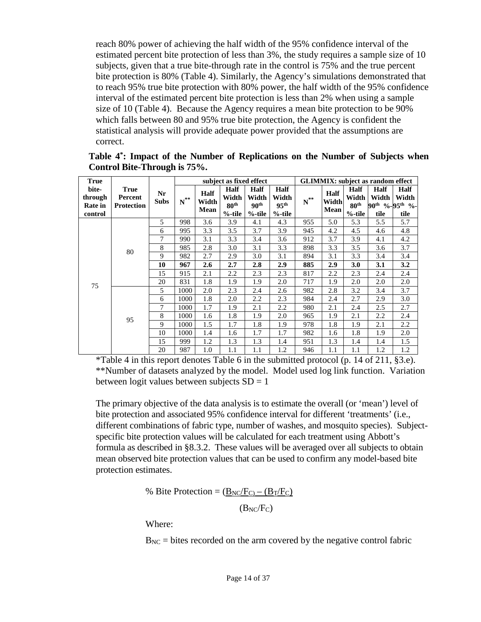reach 80% power of achieving the half width of the 95% confidence interval of the estimated percent bite protection of less than 3%, the study requires a sample size of 10 subjects, given that a true bite-through rate in the control is 75% and the true percent bite protection is 80% (Table 4). Similarly, the Agency's simulations demonstrated that to reach 95% true bite protection with 80% power, the half width of the 95% confidence interval of the estimated percent bite protection is less than 2% when using a sample size of 10 (Table 4). Because the Agency requires a mean bite protection to be 90% which falls between 80 and 95% true bite protection, the Agency is confident the statistical analysis will provide adequate power provided that the assumptions are correct.

| <b>True</b>                                   |                                             |                   | subject as fixed effect |                              |                                                       |                                                       |                                                       | <b>GLIMMIX:</b> subject as random effect |                              |                                                       |                              |                                                                        |
|-----------------------------------------------|---------------------------------------------|-------------------|-------------------------|------------------------------|-------------------------------------------------------|-------------------------------------------------------|-------------------------------------------------------|------------------------------------------|------------------------------|-------------------------------------------------------|------------------------------|------------------------------------------------------------------------|
| bite-<br>through<br><b>Rate in</b><br>control | <b>True</b><br>Percent<br><b>Protection</b> | Nr<br><b>Subs</b> | $\textbf{N}^{**}$       | <b>Half</b><br>Width<br>Mean | <b>Half</b><br>Width<br>80 <sup>th</sup><br>$%$ -tile | <b>Half</b><br>Width<br>90 <sup>th</sup><br>$%$ -tile | <b>Half</b><br>Width<br>95 <sup>th</sup><br>$%$ -tile | $\textbf{N}^{**}$                        | <b>Half</b><br>Width<br>Mean | <b>Half</b><br>Width<br>80 <sup>th</sup><br>$%$ -tile | <b>Half</b><br>Width<br>tile | <b>Half</b><br>Width<br>90 <sup>th</sup> %-95 <sup>th</sup> %-<br>tile |
|                                               |                                             | 5                 | 998                     | 3.6                          | 3.9                                                   | 4.1                                                   | 4.3                                                   | 955                                      | 5.0                          | 5.3                                                   | 5.5                          | 5.7                                                                    |
|                                               |                                             | 6                 | 995                     | 3.3                          | 3.5                                                   | 3.7                                                   | 3.9                                                   | 945                                      | 4.2                          | 4.5                                                   | 4.6                          | 4.8                                                                    |
|                                               |                                             | 7                 | 990                     | 3.1                          | 3.3                                                   | 3.4                                                   | 3.6                                                   | 912                                      | 3.7                          | 3.9                                                   | 4.1                          | 4.2                                                                    |
|                                               | 80                                          | 8                 | 985                     | 2.8                          | 3.0                                                   | 3.1                                                   | 3.3                                                   | 898                                      | 3.3                          | 3.5                                                   | 3.6                          | 3.7                                                                    |
|                                               |                                             | 9                 | 982                     | 2.7                          | 2.9                                                   | 3.0                                                   | 3.1                                                   | 894                                      | 3.1                          | 3.3                                                   | 3.4                          | 3.4                                                                    |
|                                               |                                             | 10                | 967                     | 2.6                          | 2.7                                                   | 2.8                                                   | 2.9                                                   | 885                                      | 2.9                          | 3.0                                                   | 3.1                          | 3.2                                                                    |
|                                               |                                             | 15                | 915                     | 2.1                          | 2.2                                                   | 2.3                                                   | 2.3                                                   | 817                                      | 2.2                          | 2.3                                                   | 2.4                          | 2.4                                                                    |
| 75                                            |                                             | 20                | 831                     | 1.8                          | 1.9                                                   | 1.9                                                   | 2.0                                                   | 717                                      | 1.9                          | 2.0                                                   | 2.0                          | 2.0                                                                    |
|                                               |                                             | 5                 | 1000                    | 2.0                          | 2.3                                                   | 2.4                                                   | 2.6                                                   | 982                                      | 2.8                          | 3.2                                                   | 3.4                          | 3.7                                                                    |
|                                               |                                             | 6                 | 1000                    | 1.8                          | 2.0                                                   | 2.2                                                   | 2.3                                                   | 984                                      | 2.4                          | 2.7                                                   | 2.9                          | 3.0                                                                    |
|                                               |                                             | 7                 | 1000                    | 1.7                          | 1.9                                                   | 2.1                                                   | 2.2                                                   | 980                                      | 2.1                          | 2.4                                                   | 2.5                          | 2.7                                                                    |
|                                               | 95                                          | 8                 | 1000                    | 1.6                          | 1.8                                                   | 1.9                                                   | 2.0                                                   | 965                                      | 1.9                          | 2.1                                                   | 2.2                          | 2.4                                                                    |
|                                               |                                             | 9                 | 1000                    | 1.5                          | 1.7                                                   | 1.8                                                   | 1.9                                                   | 978                                      | 1.8                          | 1.9                                                   | 2.1                          | 2.2                                                                    |
|                                               |                                             | 10                | 1000                    | 1.4                          | 1.6                                                   | 1.7                                                   | 1.7                                                   | 982                                      | 1.6                          | 1.8                                                   | 1.9                          | 2.0                                                                    |
|                                               |                                             | 15                | 999                     | 1.2                          | 1.3                                                   | 1.3                                                   | 1.4                                                   | 951                                      | 1.3                          | 1.4                                                   | 1.4                          | 1.5                                                                    |
|                                               |                                             | 20                | 987                     | 1.0                          | 1.1                                                   | 1.1                                                   | 1.2                                                   | 946                                      | 1.1                          | 1.1                                                   | 1.2                          | 1.2                                                                    |

**Table 4\*: Impact of the Number of Replications on the Number of Subjects when Control Bite-Through is 75%.**

\*Table 4 in this report denotes Table 6 in the submitted protocol (p. 14 of 211, §3.e). \*\*Number of datasets analyzed by the model. Model used log link function. Variation between logit values between subjects  $SD = 1$ 

The primary objective of the data analysis is to estimate the overall (or 'mean') level of bite protection and associated 95% confidence interval for different 'treatments' (i.e., different combinations of fabric type, number of washes, and mosquito species). Subjectspecific bite protection values will be calculated for each treatment using Abbott's formula as described in §8.3.2. These values will be averaged over all subjects to obtain mean observed bite protection values that can be used to confirm any model-based bite protection estimates.

% Bite Protection = 
$$
\frac{(B_{NC}/F_C) - (B_T/F_C)}{F_C}
$$

$$
\left(B_{NC}/F_C\right)
$$

Where:

 $B_{NC}$  = bites recorded on the arm covered by the negative control fabric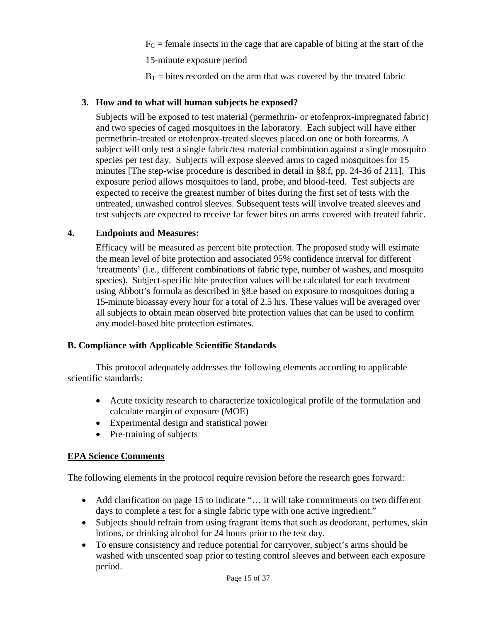$F<sub>C</sub>$  = female insects in the cage that are capable of biting at the start of the

15-minute exposure period

 $B_T$  = bites recorded on the arm that was covered by the treated fabric

# **3. How and to what will human subjects be exposed?**

Subjects will be exposed to test material (permethrin- or etofenprox-impregnated fabric) and two species of caged mosquitoes in the laboratory. Each subject will have either permethrin-treated or etofenprox-treated sleeves placed on one or both forearms. A subject will only test a single fabric/test material combination against a single mosquito species per test day. Subjects will expose sleeved arms to caged mosquitoes for 15 minutes [The step-wise procedure is described in detail in §8.f, pp. 24-36 of 211]. This exposure period allows mosquitoes to land, probe, and blood-feed. Test subjects are expected to receive the greatest number of bites during the first set of tests with the untreated, unwashed control sleeves. Subsequent tests will involve treated sleeves and test subjects are expected to receive far fewer bites on arms covered with treated fabric.

# **4. Endpoints and Measures:**

Efficacy will be measured as percent bite protection. The proposed study will estimate the mean level of bite protection and associated 95% confidence interval for different 'treatments' (i.e., different combinations of fabric type, number of washes, and mosquito species). Subject-specific bite protection values will be calculated for each treatment using Abbott's formula as described in §8.e based on exposure to mosquitoes during a 15-minute bioassay every hour for a total of 2.5 hrs. These values will be averaged over all subjects to obtain mean observed bite protection values that can be used to confirm any model-based bite protection estimates.

## **B. Compliance with Applicable Scientific Standards**

This protocol adequately addresses the following elements according to applicable scientific standards:

- Acute toxicity research to characterize toxicological profile of the formulation and calculate margin of exposure (MOE)
- Experimental design and statistical power
- Pre-training of subjects

## **EPA Science Comments**

The following elements in the protocol require revision before the research goes forward:

- Add clarification on page 15 to indicate "... it will take commitments on two different days to complete a test for a single fabric type with one active ingredient."
- Subjects should refrain from using fragrant items that such as deodorant, perfumes, skin lotions, or drinking alcohol for 24 hours prior to the test day.
- To ensure consistency and reduce potential for carryover, subject's arms should be washed with unscented soap prior to testing control sleeves and between each exposure period.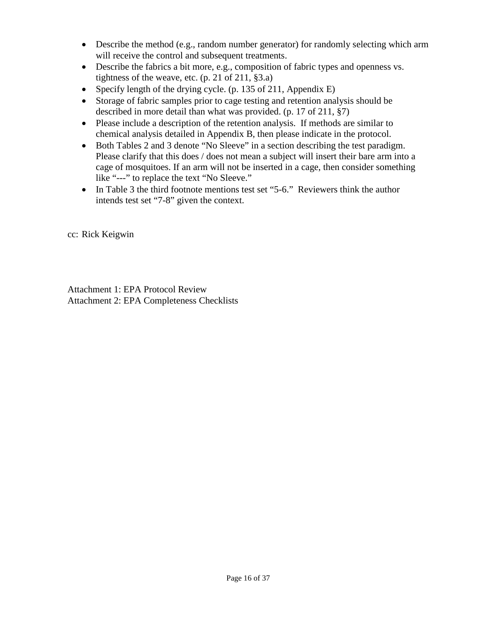- Describe the method (e.g., random number generator) for randomly selecting which arm will receive the control and subsequent treatments.
- Describe the fabrics a bit more, e.g., composition of fabric types and openness vs. tightness of the weave, etc. (p. 21 of 211, §3.a)
- Specify length of the drying cycle. (p. 135 of 211, Appendix E)
- Storage of fabric samples prior to cage testing and retention analysis should be described in more detail than what was provided. (p. 17 of 211, §7)
- Please include a description of the retention analysis. If methods are similar to chemical analysis detailed in Appendix B, then please indicate in the protocol.
- Both Tables 2 and 3 denote "No Sleeve" in a section describing the test paradigm. Please clarify that this does / does not mean a subject will insert their bare arm into a cage of mosquitoes. If an arm will not be inserted in a cage, then consider something like "---" to replace the text "No Sleeve."
- In Table 3 the third footnote mentions test set "5-6." Reviewers think the author intends test set "7-8" given the context.

cc: Rick Keigwin

Attachment 1: EPA Protocol Review Attachment 2: EPA Completeness Checklists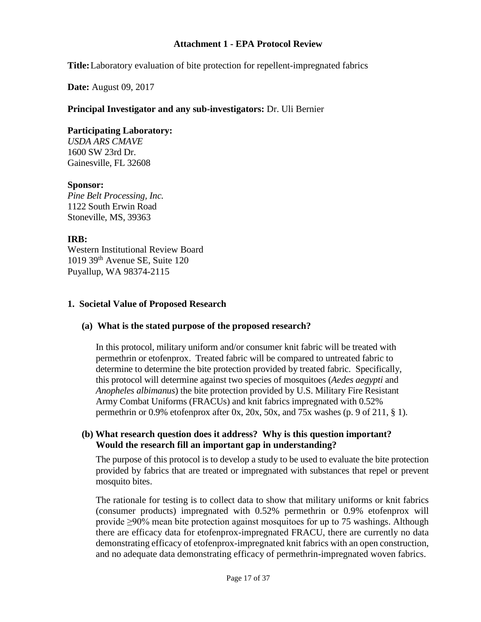### **Attachment 1 - EPA Protocol Review**

**Title:**Laboratory evaluation of bite protection for repellent-impregnated fabrics

**Date:** August 09, 2017

### **Principal Investigator and any sub-investigators:** Dr. Uli Bernier

### **Participating Laboratory:**

*USDA ARS CMAVE* 1600 SW 23rd Dr. Gainesville, FL 32608

### **Sponsor:**

*Pine Belt Processing, Inc.* 1122 South Erwin Road Stoneville, MS, 39363

## **IRB:**

Western Institutional Review Board 1019 39th Avenue SE, Suite 120 Puyallup, WA 98374-2115

### **1. Societal Value of Proposed Research**

## **(a) What is the stated purpose of the proposed research?**

In this protocol, military uniform and/or consumer knit fabric will be treated with permethrin or etofenprox. Treated fabric will be compared to untreated fabric to determine to determine the bite protection provided by treated fabric. Specifically, this protocol will determine against two species of mosquitoes (*Aedes aegypti* and *Anopheles albimanus*) the bite protection provided by U.S. Military Fire Resistant Army Combat Uniforms (FRACUs) and knit fabrics impregnated with 0.52% permethrin or  $0.9\%$  etofenprox after 0x, 20x, 50x, and 75x washes (p. 9 of 211, § 1).

## **(b) What research question does it address? Why is this question important? Would the research fill an important gap in understanding?**

The purpose of this protocol is to develop a study to be used to evaluate the bite protection provided by fabrics that are treated or impregnated with substances that repel or prevent mosquito bites.

The rationale for testing is to collect data to show that military uniforms or knit fabrics (consumer products) impregnated with 0.52% permethrin or 0.9% etofenprox will provide ≥90% mean bite protection against mosquitoes for up to 75 washings. Although there are efficacy data for etofenprox-impregnated FRACU, there are currently no data demonstrating efficacy of etofenprox-impregnated knit fabrics with an open construction, and no adequate data demonstrating efficacy of permethrin-impregnated woven fabrics.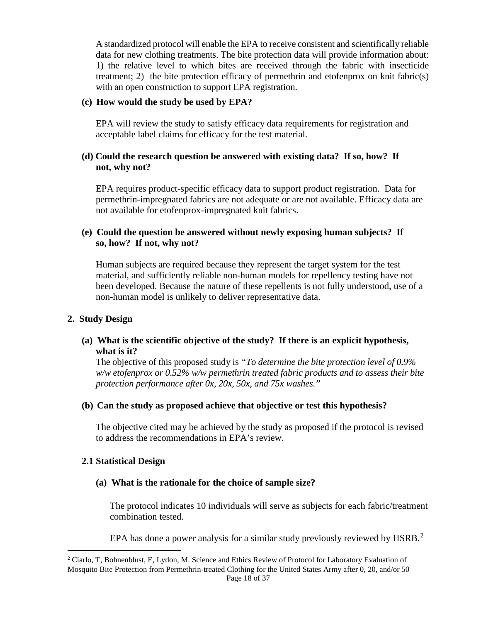A standardized protocol will enable the EPA to receive consistent and scientifically reliable data for new clothing treatments. The bite protection data will provide information about: 1) the relative level to which bites are received through the fabric with insecticide treatment; 2) the bite protection efficacy of permethrin and etofenprox on knit fabric(s) with an open construction to support EPA registration.

#### **(c) How would the study be used by EPA?**

EPA will review the study to satisfy efficacy data requirements for registration and acceptable label claims for efficacy for the test material.

### **(d) Could the research question be answered with existing data? If so, how? If not, why not?**

EPA requires product-specific efficacy data to support product registration. Data for permethrin-impregnated fabrics are not adequate or are not available. Efficacy data are not available for etofenprox-impregnated knit fabrics.

### **(e) Could the question be answered without newly exposing human subjects? If so, how? If not, why not?**

Human subjects are required because they represent the target system for the test material, and sufficiently reliable non-human models for repellency testing have not been developed. Because the nature of these repellents is not fully understood, use of a non-human model is unlikely to deliver representative data.

### **2. Study Design**

### **(a) What is the scientific objective of the study? If there is an explicit hypothesis, what is it?**

The objective of this proposed study is *"To determine the bite protection level of 0.9% w/w etofenprox or 0.52% w/w permethrin treated fabric products and to assess their bite protection performance after 0x, 20x, 50x, and 75x washes."*

### **(b) Can the study as proposed achieve that objective or test this hypothesis?**

The objective cited may be achieved by the study as proposed if the protocol is revised to address the recommendations in EPA's review.

### **2.1 Statistical Design**

 $\overline{a}$ 

### **(a) What is the rationale for the choice of sample size?**

The protocol indicates 10 individuals will serve as subjects for each fabric/treatment combination tested.

EPA has done a power analysis for a similar study previously reviewed by HSRB.<sup>[2](#page-17-0)</sup>

<span id="page-17-0"></span><sup>&</sup>lt;sup>2</sup> Ciarlo, T, Bohnenblust, E, Lydon, M. Science and Ethics Review of Protocol for Laboratory Evaluation of Mosquito Bite Protection from Permethrin-treated Clothing for the United States Army after 0, 20, and/or 50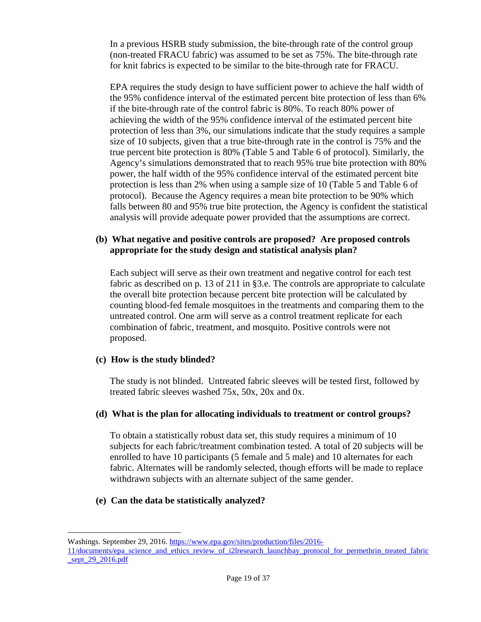In a previous HSRB study submission, the bite-through rate of the control group (non-treated FRACU fabric) was assumed to be set as 75%. The bite-through rate for knit fabrics is expected to be similar to the bite-through rate for FRACU.

EPA requires the study design to have sufficient power to achieve the half width of the 95% confidence interval of the estimated percent bite protection of less than 6% if the bite-through rate of the control fabric is 80%. To reach 80% power of achieving the width of the 95% confidence interval of the estimated percent bite protection of less than 3%, our simulations indicate that the study requires a sample size of 10 subjects, given that a true bite-through rate in the control is 75% and the true percent bite protection is 80% (Table 5 and Table 6 of protocol). Similarly, the Agency's simulations demonstrated that to reach 95% true bite protection with 80% power, the half width of the 95% confidence interval of the estimated percent bite protection is less than 2% when using a sample size of 10 (Table 5 and Table 6 of protocol). Because the Agency requires a mean bite protection to be 90% which falls between 80 and 95% true bite protection, the Agency is confident the statistical analysis will provide adequate power provided that the assumptions are correct.

# **(b) What negative and positive controls are proposed? Are proposed controls appropriate for the study design and statistical analysis plan?**

Each subject will serve as their own treatment and negative control for each test fabric as described on p. 13 of 211 in §3.e. The controls are appropriate to calculate the overall bite protection because percent bite protection will be calculated by counting blood-fed female mosquitoes in the treatments and comparing them to the untreated control. One arm will serve as a control treatment replicate for each combination of fabric, treatment, and mosquito. Positive controls were not proposed.

## **(c) How is the study blinded?**

The study is not blinded. Untreated fabric sleeves will be tested first, followed by treated fabric sleeves washed 75x, 50x, 20x and 0x.

### **(d) What is the plan for allocating individuals to treatment or control groups?**

To obtain a statistically robust data set, this study requires a minimum of 10 subjects for each fabric/treatment combination tested. A total of 20 subjects will be enrolled to have 10 participants (5 female and 5 male) and 10 alternates for each fabric. Alternates will be randomly selected, though efforts will be made to replace withdrawn subjects with an alternate subject of the same gender.

## **(e) Can the data be statistically analyzed?**

Washings. September 29, 2016[. https://www.epa.gov/sites/production/files/2016-](https://www.epa.gov/sites/production/files/2016-11/documents/epa_science_and_ethics_review_of_i2lresearch_launchbay_protocol_for_permethrin_treated_fabric_sept_29_2016.pdf) [11/documents/epa\\_science\\_and\\_ethics\\_review\\_of\\_i2lresearch\\_launchbay\\_protocol\\_for\\_permethrin\\_treated\\_fabric](https://www.epa.gov/sites/production/files/2016-11/documents/epa_science_and_ethics_review_of_i2lresearch_launchbay_protocol_for_permethrin_treated_fabric_sept_29_2016.pdf) [\\_sept\\_29\\_2016.pdf](https://www.epa.gov/sites/production/files/2016-11/documents/epa_science_and_ethics_review_of_i2lresearch_launchbay_protocol_for_permethrin_treated_fabric_sept_29_2016.pdf)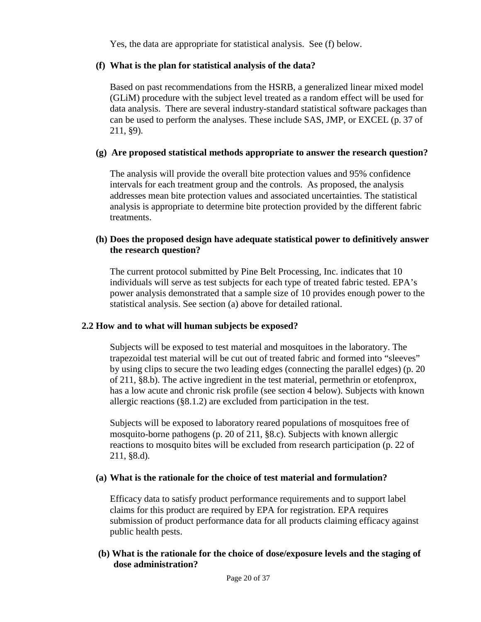Yes, the data are appropriate for statistical analysis. See (f) below.

# **(f) What is the plan for statistical analysis of the data?**

Based on past recommendations from the HSRB, a generalized linear mixed model (GLiM) procedure with the subject level treated as a random effect will be used for data analysis. There are several industry-standard statistical software packages than can be used to perform the analyses. These include SAS, JMP, or EXCEL (p. 37 of 211, §9).

# **(g) Are proposed statistical methods appropriate to answer the research question?**

The analysis will provide the overall bite protection values and 95% confidence intervals for each treatment group and the controls. As proposed, the analysis addresses mean bite protection values and associated uncertainties. The statistical analysis is appropriate to determine bite protection provided by the different fabric treatments.

# **(h) Does the proposed design have adequate statistical power to definitively answer the research question?**

The current protocol submitted by Pine Belt Processing, Inc. indicates that 10 individuals will serve as test subjects for each type of treated fabric tested. EPA's power analysis demonstrated that a sample size of 10 provides enough power to the statistical analysis. See section (a) above for detailed rational.

# **2.2 How and to what will human subjects be exposed?**

Subjects will be exposed to test material and mosquitoes in the laboratory. The trapezoidal test material will be cut out of treated fabric and formed into "sleeves" by using clips to secure the two leading edges (connecting the parallel edges) (p. 20 of 211, §8.b). The active ingredient in the test material, permethrin or etofenprox, has a low acute and chronic risk profile (see section 4 below). Subjects with known allergic reactions (§8.1.2) are excluded from participation in the test.

Subjects will be exposed to laboratory reared populations of mosquitoes free of mosquito-borne pathogens (p. 20 of 211, §8.c). Subjects with known allergic reactions to mosquito bites will be excluded from research participation (p. 22 of 211, §8.d).

## **(a) What is the rationale for the choice of test material and formulation?**

Efficacy data to satisfy product performance requirements and to support label claims for this product are required by EPA for registration. EPA requires submission of product performance data for all products claiming efficacy against public health pests.

### **(b) What is the rationale for the choice of dose/exposure levels and the staging of dose administration?**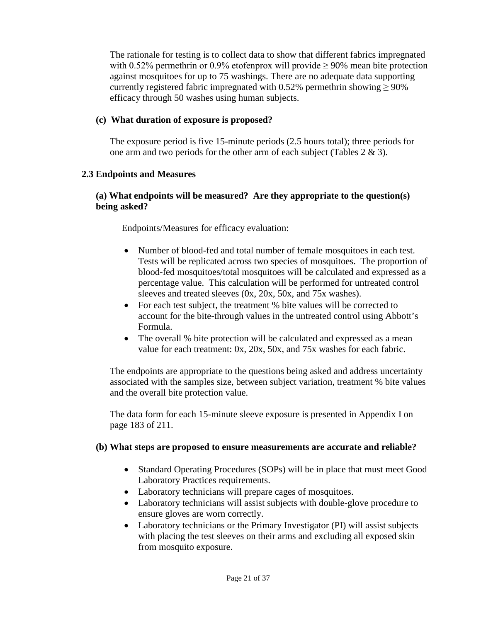The rationale for testing is to collect data to show that different fabrics impregnated with 0.52% permethrin or 0.9% etofenprox will provide  $> 90\%$  mean bite protection against mosquitoes for up to 75 washings. There are no adequate data supporting currently registered fabric impregnated with 0.52% permethrin showing  $\geq$  90% efficacy through 50 washes using human subjects.

## **(c) What duration of exposure is proposed?**

The exposure period is five 15-minute periods (2.5 hours total); three periods for one arm and two periods for the other arm of each subject (Tables 2 & 3).

## **2.3 Endpoints and Measures**

## **(a) What endpoints will be measured? Are they appropriate to the question(s) being asked?**

Endpoints/Measures for efficacy evaluation:

- Number of blood-fed and total number of female mosquitoes in each test. Tests will be replicated across two species of mosquitoes. The proportion of blood-fed mosquitoes/total mosquitoes will be calculated and expressed as a percentage value. This calculation will be performed for untreated control sleeves and treated sleeves (0x, 20x, 50x, and 75x washes).
- For each test subject, the treatment % bite values will be corrected to account for the bite-through values in the untreated control using Abbott's Formula.
- The overall % bite protection will be calculated and expressed as a mean value for each treatment: 0x, 20x, 50x, and 75x washes for each fabric.

The endpoints are appropriate to the questions being asked and address uncertainty associated with the samples size, between subject variation, treatment % bite values and the overall bite protection value.

The data form for each 15-minute sleeve exposure is presented in Appendix I on page 183 of 211.

## **(b) What steps are proposed to ensure measurements are accurate and reliable?**

- Standard Operating Procedures (SOPs) will be in place that must meet Good Laboratory Practices requirements.
- Laboratory technicians will prepare cages of mosquitoes.
- Laboratory technicians will assist subjects with double-glove procedure to ensure gloves are worn correctly.
- Laboratory technicians or the Primary Investigator (PI) will assist subjects with placing the test sleeves on their arms and excluding all exposed skin from mosquito exposure.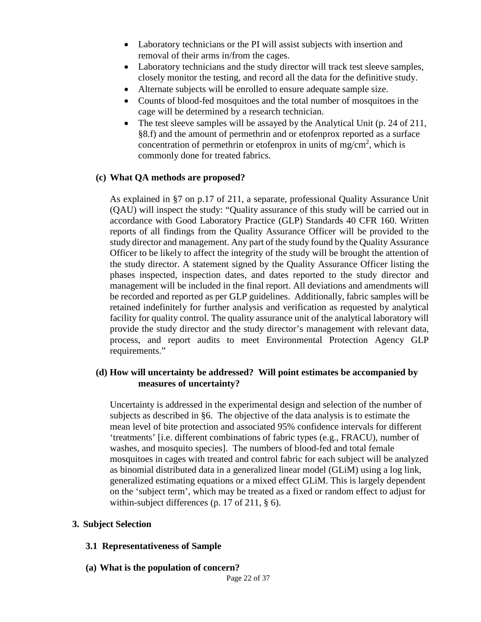- Laboratory technicians or the PI will assist subjects with insertion and removal of their arms in/from the cages.
- Laboratory technicians and the study director will track test sleeve samples, closely monitor the testing, and record all the data for the definitive study.
- Alternate subjects will be enrolled to ensure adequate sample size.
- Counts of blood-fed mosquitoes and the total number of mosquitoes in the cage will be determined by a research technician.
- The test sleeve samples will be assayed by the Analytical Unit (p. 24 of 211, §8.f) and the amount of permethrin and or etofenprox reported as a surface concentration of permethrin or etofenprox in units of mg/cm<sup>2</sup>, which is commonly done for treated fabrics.

## **(c) What QA methods are proposed?**

As explained in §7 on p.17 of 211, a separate, professional Quality Assurance Unit (QAU) will inspect the study: "Quality assurance of this study will be carried out in accordance with Good Laboratory Practice (GLP) Standards 40 CFR 160. Written reports of all findings from the Quality Assurance Officer will be provided to the study director and management. Any part of the study found by the Quality Assurance Officer to be likely to affect the integrity of the study will be brought the attention of the study director. A statement signed by the Quality Assurance Officer listing the phases inspected, inspection dates, and dates reported to the study director and management will be included in the final report. All deviations and amendments will be recorded and reported as per GLP guidelines. Additionally, fabric samples will be retained indefinitely for further analysis and verification as requested by analytical facility for quality control. The quality assurance unit of the analytical laboratory will provide the study director and the study director's management with relevant data, process, and report audits to meet Environmental Protection Agency GLP requirements."

## **(d) How will uncertainty be addressed? Will point estimates be accompanied by measures of uncertainty?**

Uncertainty is addressed in the experimental design and selection of the number of subjects as described in §6. The objective of the data analysis is to estimate the mean level of bite protection and associated 95% confidence intervals for different 'treatments' [i.e. different combinations of fabric types (e.g., FRACU), number of washes, and mosquito species]. The numbers of blood-fed and total female mosquitoes in cages with treated and control fabric for each subject will be analyzed as binomial distributed data in a generalized linear model (GLiM) using a log link, generalized estimating equations or a mixed effect GLiM. This is largely dependent on the 'subject term', which may be treated as a fixed or random effect to adjust for within-subject differences (p. 17 of 211, § 6).

## **3. Subject Selection**

## **3.1 Representativeness of Sample**

**(a) What is the population of concern?**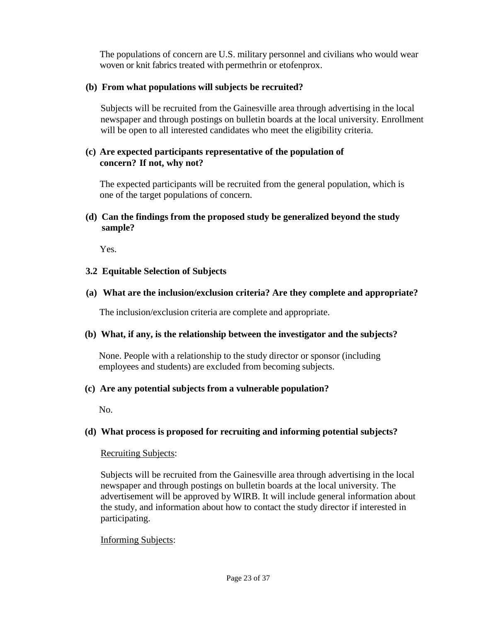The populations of concern are U.S. military personnel and civilians who would wear woven or knit fabrics treated with permethrin or etofenprox.

# **(b) From what populations will subjects be recruited?**

Subjects will be recruited from the Gainesville area through advertising in the local newspaper and through postings on bulletin boards at the local university. Enrollment will be open to all interested candidates who meet the eligibility criteria.

## **(c) Are expected participants representative of the population of concern? If not, why not?**

The expected participants will be recruited from the general population, which is one of the target populations of concern.

## **(d) Can the findings from the proposed study be generalized beyond the study sample?**

Yes.

# **3.2 Equitable Selection of Subjects**

# **(a) What are the inclusion/exclusion criteria? Are they complete and appropriate?**

The inclusion/exclusion criteria are complete and appropriate.

# **(b) What, if any, is the relationship between the investigator and the subjects?**

None. People with a relationship to the study director or sponsor (including employees and students) are excluded from becoming subjects.

## **(c) Are any potential subjects from a vulnerable population?**

No.

# **(d) What process is proposed for recruiting and informing potential subjects?**

## Recruiting Subjects:

Subjects will be recruited from the Gainesville area through advertising in the local newspaper and through postings on bulletin boards at the local university. The advertisement will be approved by WIRB. It will include general information about the study, and information about how to contact the study director if interested in participating.

# Informing Subjects: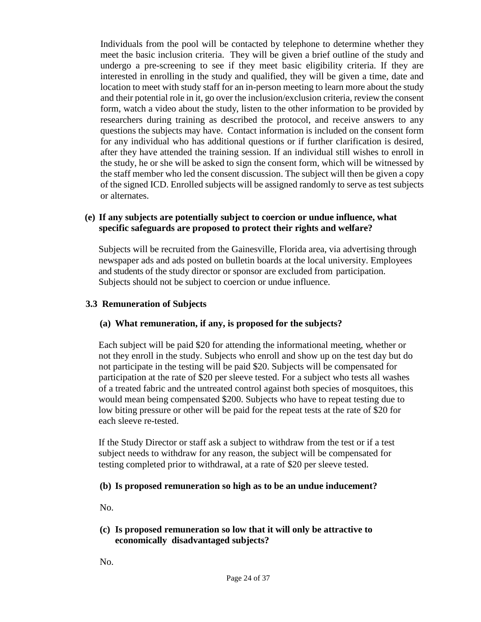Individuals from the pool will be contacted by telephone to determine whether they meet the basic inclusion criteria. They will be given a brief outline of the study and undergo a pre-screening to see if they meet basic eligibility criteria. If they are interested in enrolling in the study and qualified, they will be given a time, date and location to meet with study staff for an in-person meeting to learn more about the study and their potential role in it, go over the inclusion/exclusion criteria, review the consent form, watch a video about the study, listen to the other information to be provided by researchers during training as described the protocol, and receive answers to any questions the subjects may have. Contact information is included on the consent form for any individual who has additional questions or if further clarification is desired, after they have attended the training session. If an individual still wishes to enroll in the study, he or she will be asked to sign the consent form, which will be witnessed by the staff member who led the consent discussion. The subject will then be given a copy of the signed ICD. Enrolled subjects will be assigned randomly to serve as test subjects or alternates.

### **(e) If any subjects are potentially subject to coercion or undue influence, what specific safeguards are proposed to protect their rights and welfare?**

Subjects will be recruited from the Gainesville, Florida area, via advertising through newspaper ads and ads posted on bulletin boards at the local university. Employees and students of the study director or sponsor are excluded from participation. Subjects should not be subject to coercion or undue influence.

## **3.3 Remuneration of Subjects**

## **(a) What remuneration, if any, is proposed for the subjects?**

Each subject will be paid \$20 for attending the informational meeting, whether or not they enroll in the study. Subjects who enroll and show up on the test day but do not participate in the testing will be paid \$20. Subjects will be compensated for participation at the rate of \$20 per sleeve tested. For a subject who tests all washes of a treated fabric and the untreated control against both species of mosquitoes, this would mean being compensated \$200. Subjects who have to repeat testing due to low biting pressure or other will be paid for the repeat tests at the rate of \$20 for each sleeve re-tested.

If the Study Director or staff ask a subject to withdraw from the test or if a test subject needs to withdraw for any reason, the subject will be compensated for testing completed prior to withdrawal, at a rate of \$20 per sleeve tested.

## **(b) Is proposed remuneration so high as to be an undue inducement?**

No.

# **(c) Is proposed remuneration so low that it will only be attractive to economically disadvantaged subjects?**

No.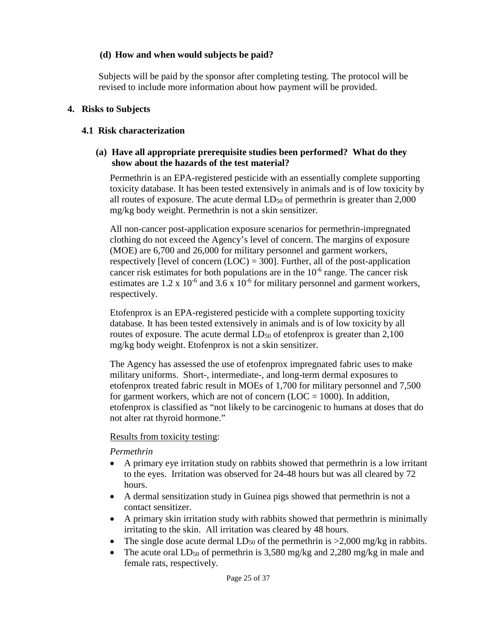## **(d) How and when would subjects be paid?**

Subjects will be paid by the sponsor after completing testing. The protocol will be revised to include more information about how payment will be provided.

### **4. Risks to Subjects**

## **4.1 Risk characterization**

### **(a) Have all appropriate prerequisite studies been performed? What do they show about the hazards of the test material?**

Permethrin is an EPA-registered pesticide with an essentially complete supporting toxicity database. It has been tested extensively in animals and is of low toxicity by all routes of exposure. The acute dermal  $LD_{50}$  of permethrin is greater than 2,000 mg/kg body weight. Permethrin is not a skin sensitizer.

All non-cancer post-application exposure scenarios for permethrin-impregnated clothing do not exceed the Agency's level of concern. The margins of exposure (MOE) are 6,700 and 26,000 for military personnel and garment workers, respectively [level of concern  $(LOC) = 300$ ]. Further, all of the post-application cancer risk estimates for both populations are in the  $10^{-6}$  range. The cancer risk estimates are  $1.2 \times 10^{-6}$  and  $3.6 \times 10^{-6}$  for military personnel and garment workers, respectively.

Etofenprox is an EPA-registered pesticide with a complete supporting toxicity database. It has been tested extensively in animals and is of low toxicity by all routes of exposure. The acute dermal  $LD_{50}$  of etofenprox is greater than 2,100 mg/kg body weight. Etofenprox is not a skin sensitizer.

The Agency has assessed the use of etofenprox impregnated fabric uses to make military uniforms. Short-, intermediate-, and long-term dermal exposures to etofenprox treated fabric result in MOEs of 1,700 for military personnel and 7,500 for garment workers, which are not of concern  $(LOC = 1000)$ . In addition, etofenprox is classified as "not likely to be carcinogenic to humans at doses that do not alter rat thyroid hormone."

## Results from toxicity testing:

## *Permethrin*

- A primary eye irritation study on rabbits showed that permethrin is a low irritant to the eyes. Irritation was observed for 24-48 hours but was all cleared by 72 hours.
- A dermal sensitization study in Guinea pigs showed that permethrin is not a contact sensitizer.
- A primary skin irritation study with rabbits showed that permethrin is minimally irritating to the skin. All irritation was cleared by 48 hours.
- The single dose acute dermal  $LD_{50}$  of the permethrin is  $>2,000$  mg/kg in rabbits.
- The acute oral  $LD_{50}$  of permethrin is 3,580 mg/kg and 2,280 mg/kg in male and female rats, respectively.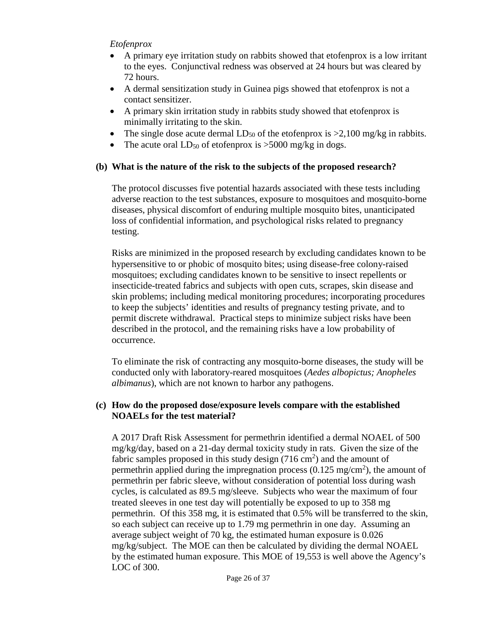### *Etofenprox*

- A primary eye irritation study on rabbits showed that etofenprox is a low irritant to the eyes. Conjunctival redness was observed at 24 hours but was cleared by 72 hours.
- A dermal sensitization study in Guinea pigs showed that etofenprox is not a contact sensitizer.
- A primary skin irritation study in rabbits study showed that etofenprox is minimally irritating to the skin.
- The single dose acute dermal  $LD_{50}$  of the etofenprox is  $\geq 2,100$  mg/kg in rabbits.
- The acute oral  $LD_{50}$  of etofenprox is >5000 mg/kg in dogs.

## **(b) What is the nature of the risk to the subjects of the proposed research?**

The protocol discusses five potential hazards associated with these tests including adverse reaction to the test substances, exposure to mosquitoes and mosquito-borne diseases, physical discomfort of enduring multiple mosquito bites, unanticipated loss of confidential information, and psychological risks related to pregnancy testing.

Risks are minimized in the proposed research by excluding candidates known to be hypersensitive to or phobic of mosquito bites; using disease-free colony-raised mosquitoes; excluding candidates known to be sensitive to insect repellents or insecticide-treated fabrics and subjects with open cuts, scrapes, skin disease and skin problems; including medical monitoring procedures; incorporating procedures to keep the subjects' identities and results of pregnancy testing private, and to permit discrete withdrawal. Practical steps to minimize subject risks have been described in the protocol, and the remaining risks have a low probability of occurrence.

To eliminate the risk of contracting any mosquito-borne diseases, the study will be conducted only with laboratory-reared mosquitoes (*Aedes albopictus; Anopheles albimanus*), which are not known to harbor any pathogens.

## **(c) How do the proposed dose/exposure levels compare with the established NOAELs for the test material?**

A 2017 Draft Risk Assessment for permethrin identified a dermal NOAEL of 500 mg/kg/day, based on a 21-day dermal toxicity study in rats. Given the size of the fabric samples proposed in this study design  $(716 \text{ cm}^2)$  and the amount of permethrin applied during the impregnation process  $(0.125 \text{ mg/cm}^2)$ , the amount of permethrin per fabric sleeve, without consideration of potential loss during wash cycles, is calculated as 89.5 mg/sleeve. Subjects who wear the maximum of four treated sleeves in one test day will potentially be exposed to up to 358 mg permethrin. Of this 358 mg, it is estimated that 0.5% will be transferred to the skin, so each subject can receive up to 1.79 mg permethrin in one day. Assuming an average subject weight of 70 kg, the estimated human exposure is 0.026 mg/kg/subject. The MOE can then be calculated by dividing the dermal NOAEL by the estimated human exposure. This MOE of 19,553 is well above the Agency's LOC of 300.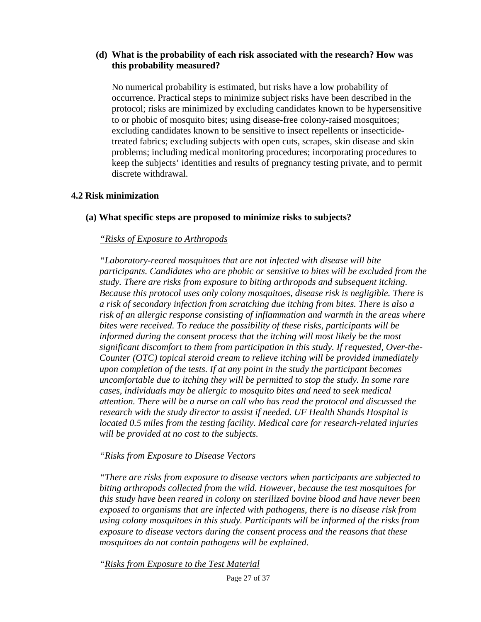## **(d) What is the probability of each risk associated with the research? How was this probability measured?**

No numerical probability is estimated, but risks have a low probability of occurrence. Practical steps to minimize subject risks have been described in the protocol; risks are minimized by excluding candidates known to be hypersensitive to or phobic of mosquito bites; using disease-free colony-raised mosquitoes; excluding candidates known to be sensitive to insect repellents or insecticidetreated fabrics; excluding subjects with open cuts, scrapes, skin disease and skin problems; including medical monitoring procedures; incorporating procedures to keep the subjects' identities and results of pregnancy testing private, and to permit discrete withdrawal.

# **4.2 Risk minimization**

# **(a) What specific steps are proposed to minimize risks to subjects?**

# *"Risks of Exposure to Arthropods*

*"Laboratory-reared mosquitoes that are not infected with disease will bite participants. Candidates who are phobic or sensitive to bites will be excluded from the study. There are risks from exposure to biting arthropods and subsequent itching. Because this protocol uses only colony mosquitoes, disease risk is negligible. There is a risk of secondary infection from scratching due itching from bites. There is also a risk of an allergic response consisting of inflammation and warmth in the areas where bites were received. To reduce the possibility of these risks, participants will be informed during the consent process that the itching will most likely be the most significant discomfort to them from participation in this study. If requested, Over-the-Counter (OTC) topical steroid cream to relieve itching will be provided immediately upon completion of the tests. If at any point in the study the participant becomes uncomfortable due to itching they will be permitted to stop the study. In some rare cases, individuals may be allergic to mosquito bites and need to seek medical attention. There will be a nurse on call who has read the protocol and discussed the research with the study director to assist if needed. UF Health Shands Hospital is located 0.5 miles from the testing facility. Medical care for research-related injuries will be provided at no cost to the subjects.*

## *"Risks from Exposure to Disease Vectors*

*"There are risks from exposure to disease vectors when participants are subjected to biting arthropods collected from the wild. However, because the test mosquitoes for this study have been reared in colony on sterilized bovine blood and have never been exposed to organisms that are infected with pathogens, there is no disease risk from using colony mosquitoes in this study. Participants will be informed of the risks from exposure to disease vectors during the consent process and the reasons that these mosquitoes do not contain pathogens will be explained.*

*"Risks from Exposure to the Test Material*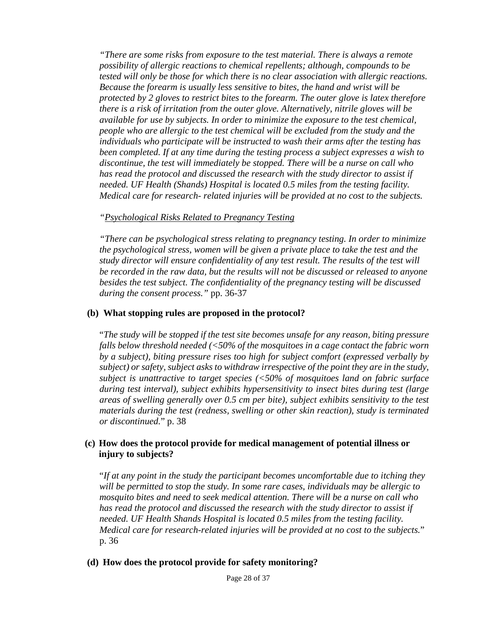*"There are some risks from exposure to the test material. There is always a remote possibility of allergic reactions to chemical repellents; although, compounds to be tested will only be those for which there is no clear association with allergic reactions. Because the forearm is usually less sensitive to bites, the hand and wrist will be protected by 2 gloves to restrict bites to the forearm. The outer glove is latex therefore there is a risk of irritation from the outer glove. Alternatively, nitrile gloves will be available for use by subjects. In order to minimize the exposure to the test chemical, people who are allergic to the test chemical will be excluded from the study and the individuals who participate will be instructed to wash their arms after the testing has been completed. If at any time during the testing process a subject expresses a wish to discontinue, the test will immediately be stopped. There will be a nurse on call who has read the protocol and discussed the research with the study director to assist if needed. UF Health (Shands) Hospital is located 0.5 miles from the testing facility. Medical care for research- related injuries will be provided at no cost to the subjects.*

### *"Psychological Risks Related to Pregnancy Testing*

*"There can be psychological stress relating to pregnancy testing. In order to minimize the psychological stress, women will be given a private place to take the test and the study director will ensure confidentiality of any test result. The results of the test will be recorded in the raw data, but the results will not be discussed or released to anyone besides the test subject. The confidentiality of the pregnancy testing will be discussed during the consent process."* pp. 36-37

### **(b) What stopping rules are proposed in the protocol?**

"*The study will be stopped if the test site becomes unsafe for any reason, biting pressure falls below threshold needed (<50% of the mosquitoes in a cage contact the fabric worn by a subject), biting pressure rises too high for subject comfort (expressed verbally by subject) or safety, subject asks to withdraw irrespective of the point they are in the study, subject is unattractive to target species (<50% of mosquitoes land on fabric surface during test interval), subject exhibits hypersensitivity to insect bites during test (large areas of swelling generally over 0.5 cm per bite), subject exhibits sensitivity to the test materials during the test (redness, swelling or other skin reaction), study is terminated or discontinued.*" p. 38

### **(c) How does the protocol provide for medical management of potential illness or injury to subjects?**

"*If at any point in the study the participant becomes uncomfortable due to itching they will be permitted to stop the study. In some rare cases, individuals may be allergic to mosquito bites and need to seek medical attention. There will be a nurse on call who has read the protocol and discussed the research with the study director to assist if needed. UF Health Shands Hospital is located 0.5 miles from the testing facility. Medical care for research-related injuries will be provided at no cost to the subjects.*" p. 36

### **(d) How does the protocol provide for safety monitoring?**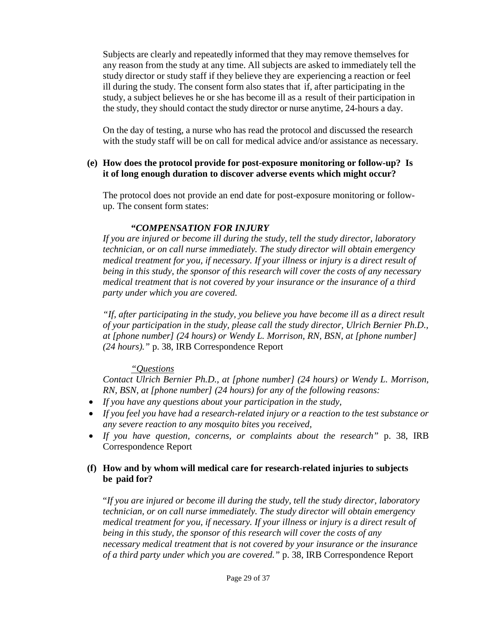Subjects are clearly and repeatedly informed that they may remove themselves for any reason from the study at any time. All subjects are asked to immediately tell the study director or study staff if they believe they are experiencing a reaction or feel ill during the study. The consent form also states that if, after participating in the study, a subject believes he or she has become ill as a result of their participation in the study, they should contact the study director or nurse anytime, 24-hours a day.

On the day of testing, a nurse who has read the protocol and discussed the research with the study staff will be on call for medical advice and/or assistance as necessary.

### **(e) How does the protocol provide for post-exposure monitoring or follow-up? Is it of long enough duration to discover adverse events which might occur?**

The protocol does not provide an end date for post-exposure monitoring or followup. The consent form states:

## **"***COMPENSATION FOR INJURY*

*If you are injured or become ill during the study, tell the study director, laboratory technician, or on call nurse immediately. The study director will obtain emergency medical treatment for you, if necessary. If your illness or injury is a direct result of being in this study, the sponsor of this research will cover the costs of any necessary medical treatment that is not covered by your insurance or the insurance of a third party under which you are covered.*

*"If, after participating in the study, you believe you have become ill as a direct result of your participation in the study, please call the study director, Ulrich Bernier Ph.D., at [phone number] (24 hours) or Wendy L. Morrison, RN, BSN, at [phone number] (24 hours)."* p. 38, IRB Correspondence Report

### *"Questions*

*Contact Ulrich Bernier Ph.D., at [phone number] (24 hours) or Wendy L. Morrison, RN, BSN, at [phone number] (24 hours) for any of the following reasons:* 

- *If you have any questions about your participation in the study,*
- *If you feel you have had a research-related injury or a reaction to the test substance or any severe reaction to any mosquito bites you received,*
- *If you have question, concerns, or complaints about the research"* p. 38, IRB Correspondence Report

## **(f) How and by whom will medical care for research-related injuries to subjects be paid for?**

"*If you are injured or become ill during the study, tell the study director, laboratory technician, or on call nurse immediately. The study director will obtain emergency medical treatment for you, if necessary. If your illness or injury is a direct result of being in this study, the sponsor of this research will cover the costs of any necessary medical treatment that is not covered by your insurance or the insurance of a third party under which you are covered."* p. 38, IRB Correspondence Report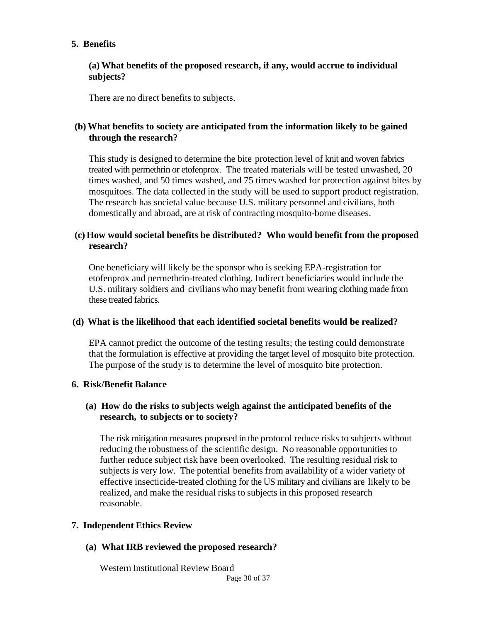### **5. Benefits**

### **(a) What benefits of the proposed research, if any, would accrue to individual subjects?**

There are no direct benefits to subjects.

# **(b) What benefits to society are anticipated from the information likely to be gained through the research?**

This study is designed to determine the bite protection level of knit and woven fabrics treated with permethrin or etofenprox. The treated materials will be tested unwashed, 20 times washed, and 50 times washed, and 75 times washed for protection against bites by mosquitoes. The data collected in the study will be used to support product registration. The research has societal value because U.S. military personnel and civilians, both domestically and abroad, are at risk of contracting mosquito-borne diseases.

## **(c) How would societal benefits be distributed? Who would benefit from the proposed research?**

One beneficiary will likely be the sponsor who is seeking EPA-registration for etofenprox and permethrin-treated clothing. Indirect beneficiaries would include the U.S. military soldiers and civilians who may benefit from wearing clothing made from these treated fabrics.

### **(d) What is the likelihood that each identified societal benefits would be realized?**

EPA cannot predict the outcome of the testing results; the testing could demonstrate that the formulation is effective at providing the target level of mosquito bite protection. The purpose of the study is to determine the level of mosquito bite protection.

## **6. Risk/Benefit Balance**

### **(a) How do the risks to subjects weigh against the anticipated benefits of the research, to subjects or to society?**

The risk mitigation measures proposed in the protocol reduce risks to subjects without reducing the robustness of the scientific design. No reasonable opportunities to further reduce subject risk have been overlooked. The resulting residual risk to subjects is very low. The potential benefits from availability of a wider variety of effective insecticide-treated clothing for the US military and civilians are likely to be realized, and make the residual risks to subjects in this proposed research reasonable.

## **7. Independent Ethics Review**

## **(a) What IRB reviewed the proposed research?**

Western Institutional Review Board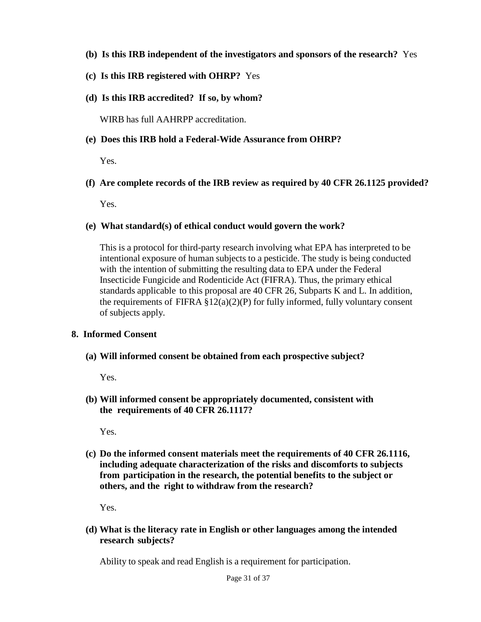- **(b) Is this IRB independent of the investigators and sponsors of the research?** Yes
- **(c) Is this IRB registered with OHRP?** Yes
- **(d) Is this IRB accredited? If so, by whom?**

WIRB has full AAHRPP accreditation.

**(e) Does this IRB hold a Federal-Wide Assurance from OHRP?**

Yes.

**(f) Are complete records of the IRB review as required by 40 CFR 26.1125 provided?**

Yes.

### **(e) What standard(s) of ethical conduct would govern the work?**

This is a protocol for third-party research involving what EPA has interpreted to be intentional exposure of human subjects to a pesticide. The study is being conducted with the intention of submitting the resulting data to EPA under the Federal Insecticide Fungicide and Rodenticide Act (FIFRA). Thus, the primary ethical standards applicable to this proposal are 40 CFR 26, Subparts K and L. In addition, the requirements of FIFRA  $\S 12(a)(2)(P)$  for fully informed, fully voluntary consent of subjects apply.

## **8. Informed Consent**

**(a) Will informed consent be obtained from each prospective subject?**

Yes.

**(b) Will informed consent be appropriately documented, consistent with the requirements of 40 CFR 26.1117?**

Yes.

**(c) Do the informed consent materials meet the requirements of 40 CFR 26.1116, including adequate characterization of the risks and discomforts to subjects from participation in the research, the potential benefits to the subject or others, and the right to withdraw from the research?**

Yes.

**(d) What is the literacy rate in English or other languages among the intended research subjects?**

Ability to speak and read English is a requirement for participation.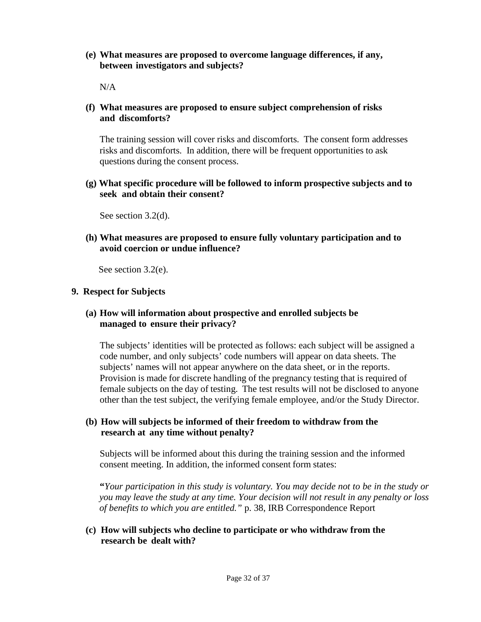**(e) What measures are proposed to overcome language differences, if any, between investigators and subjects?**

N/A

**(f) What measures are proposed to ensure subject comprehension of risks and discomforts?**

The training session will cover risks and discomforts. The consent form addresses risks and discomforts. In addition, there will be frequent opportunities to ask questions during the consent process.

**(g) What specific procedure will be followed to inform prospective subjects and to seek and obtain their consent?**

See section 3.2(d).

**(h) What measures are proposed to ensure fully voluntary participation and to avoid coercion or undue influence?**

See section 3.2(e).

### **9. Respect for Subjects**

**(a) How will information about prospective and enrolled subjects be managed to ensure their privacy?**

The subjects' identities will be protected as follows: each subject will be assigned a code number, and only subjects' code numbers will appear on data sheets. The subjects' names will not appear anywhere on the data sheet, or in the reports. Provision is made for discrete handling of the pregnancy testing that is required of female subjects on the day of testing. The test results will not be disclosed to anyone other than the test subject, the verifying female employee, and/or the Study Director.

## **(b) How will subjects be informed of their freedom to withdraw from the research at any time without penalty?**

Subjects will be informed about this during the training session and the informed consent meeting. In addition, the informed consent form states:

**"***Your participation in this study is voluntary. You may decide not to be in the study or you may leave the study at any time. Your decision will not result in any penalty or loss of benefits to which you are entitled."* p. 38, IRB Correspondence Report

**(c) How will subjects who decline to participate or who withdraw from the research be dealt with?**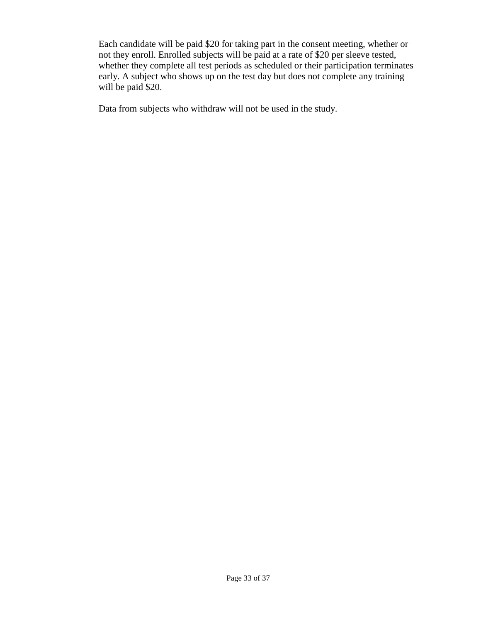Each candidate will be paid \$20 for taking part in the consent meeting, whether or not they enroll. Enrolled subjects will be paid at a rate of \$20 per sleeve tested, whether they complete all test periods as scheduled or their participation terminates early. A subject who shows up on the test day but does not complete any training will be paid \$20.

Data from subjects who withdraw will not be used in the study.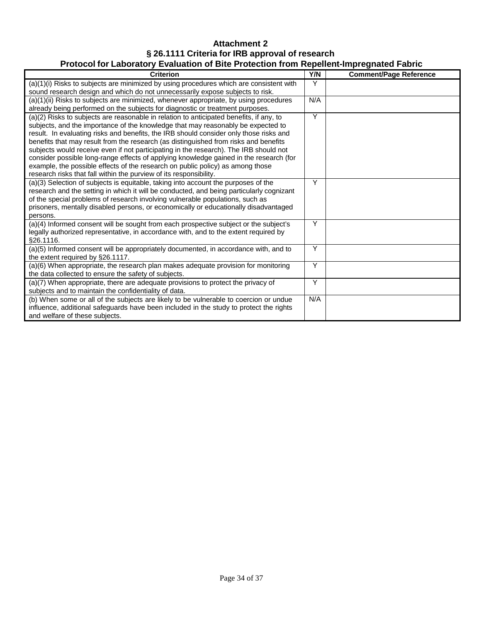### **Attachment 2 § 26.1111 Criteria for IRB approval of research Protocol for Laboratory Evaluation of Bite Protection from Repellent-Impregnated Fabric**

| r rotocor for Eaboratory Evaluation of Dite Frotection from Rependit-impregnated Fabric<br><b>Criterion</b> | Y/N | <b>Comment/Page Reference</b> |
|-------------------------------------------------------------------------------------------------------------|-----|-------------------------------|
|                                                                                                             | Y   |                               |
| (a)(1)(i) Risks to subjects are minimized by using procedures which are consistent with                     |     |                               |
| sound research design and which do not unnecessarily expose subjects to risk.                               | N/A |                               |
| (a)(1)(ii) Risks to subjects are minimized, whenever appropriate, by using procedures                       |     |                               |
| already being performed on the subjects for diagnostic or treatment purposes.                               |     |                               |
| (a)(2) Risks to subjects are reasonable in relation to anticipated benefits, if any, to                     | Y   |                               |
| subjects, and the importance of the knowledge that may reasonably be expected to                            |     |                               |
| result. In evaluating risks and benefits, the IRB should consider only those risks and                      |     |                               |
| benefits that may result from the research (as distinguished from risks and benefits                        |     |                               |
| subjects would receive even if not participating in the research). The IRB should not                       |     |                               |
| consider possible long-range effects of applying knowledge gained in the research (for                      |     |                               |
| example, the possible effects of the research on public policy) as among those                              |     |                               |
| research risks that fall within the purview of its responsibility.                                          |     |                               |
| (a)(3) Selection of subjects is equitable, taking into account the purposes of the                          | Y   |                               |
| research and the setting in which it will be conducted, and being particularly cognizant                    |     |                               |
| of the special problems of research involving vulnerable populations, such as                               |     |                               |
| prisoners, mentally disabled persons, or economically or educationally disadvantaged                        |     |                               |
| persons.                                                                                                    |     |                               |
| (a)(4) Informed consent will be sought from each prospective subject or the subject's                       | Y   |                               |
| legally authorized representative, in accordance with, and to the extent required by                        |     |                               |
| §26.1116.                                                                                                   |     |                               |
| (a)(5) Informed consent will be appropriately documented, in accordance with, and to                        | Y   |                               |
| the extent required by §26.1117.                                                                            |     |                               |
| (a)(6) When appropriate, the research plan makes adequate provision for monitoring                          | Y   |                               |
| the data collected to ensure the safety of subjects.                                                        |     |                               |
| (a)(7) When appropriate, there are adequate provisions to protect the privacy of                            | Y   |                               |
| subjects and to maintain the confidentiality of data.                                                       |     |                               |
| (b) When some or all of the subjects are likely to be vulnerable to coercion or undue                       | N/A |                               |
| influence, additional safeguards have been included in the study to protect the rights                      |     |                               |
| and welfare of these subjects.                                                                              |     |                               |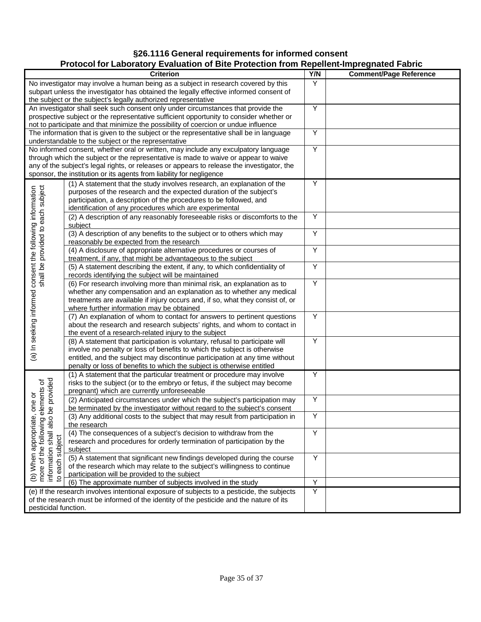### **§26.1116 General requirements for informed consent**

#### **Protocol for Laboratory Evaluation of Bite Protection from Repellent-Impregnated Fabric**

|                                                                                                                                                          | <u>0000 i or Eaboratory Evaluation or Dite i Totoulon ironi itopenent impregnateu i abrio</u><br><b>Criterion</b>                                                            | Y/N            | <b>Comment/Page Reference</b> |  |  |  |  |  |  |  |
|----------------------------------------------------------------------------------------------------------------------------------------------------------|------------------------------------------------------------------------------------------------------------------------------------------------------------------------------|----------------|-------------------------------|--|--|--|--|--|--|--|
|                                                                                                                                                          |                                                                                                                                                                              |                |                               |  |  |  |  |  |  |  |
|                                                                                                                                                          | No investigator may involve a human being as a subject in research covered by this                                                                                           | Y              |                               |  |  |  |  |  |  |  |
| subpart unless the investigator has obtained the legally effective informed consent of<br>the subject or the subject's legally authorized representative |                                                                                                                                                                              |                |                               |  |  |  |  |  |  |  |
|                                                                                                                                                          |                                                                                                                                                                              | Y              |                               |  |  |  |  |  |  |  |
|                                                                                                                                                          | An investigator shall seek such consent only under circumstances that provide the<br>prospective subject or the representative sufficient opportunity to consider whether or |                |                               |  |  |  |  |  |  |  |
|                                                                                                                                                          | not to participate and that minimize the possibility of coercion or undue influence                                                                                          |                |                               |  |  |  |  |  |  |  |
|                                                                                                                                                          | The information that is given to the subject or the representative shall be in language                                                                                      | Υ              |                               |  |  |  |  |  |  |  |
|                                                                                                                                                          | understandable to the subject or the representative                                                                                                                          |                |                               |  |  |  |  |  |  |  |
|                                                                                                                                                          | No informed consent, whether oral or written, may include any exculpatory language                                                                                           | Υ              |                               |  |  |  |  |  |  |  |
|                                                                                                                                                          | through which the subject or the representative is made to waive or appear to waive                                                                                          |                |                               |  |  |  |  |  |  |  |
|                                                                                                                                                          | any of the subject's legal rights, or releases or appears to release the investigator, the                                                                                   |                |                               |  |  |  |  |  |  |  |
|                                                                                                                                                          | sponsor, the institution or its agents from liability for negligence                                                                                                         |                |                               |  |  |  |  |  |  |  |
|                                                                                                                                                          | (1) A statement that the study involves research, an explanation of the                                                                                                      | Y              |                               |  |  |  |  |  |  |  |
|                                                                                                                                                          | purposes of the research and the expected duration of the subject's                                                                                                          |                |                               |  |  |  |  |  |  |  |
|                                                                                                                                                          | participation, a description of the procedures to be followed, and                                                                                                           |                |                               |  |  |  |  |  |  |  |
|                                                                                                                                                          | identification of any procedures which are experimental                                                                                                                      |                |                               |  |  |  |  |  |  |  |
|                                                                                                                                                          | (2) A description of any reasonably foreseeable risks or discomforts to the                                                                                                  | Y              |                               |  |  |  |  |  |  |  |
|                                                                                                                                                          | subject                                                                                                                                                                      |                |                               |  |  |  |  |  |  |  |
|                                                                                                                                                          | (3) A description of any benefits to the subject or to others which may                                                                                                      | Y              |                               |  |  |  |  |  |  |  |
|                                                                                                                                                          | reasonably be expected from the research                                                                                                                                     |                |                               |  |  |  |  |  |  |  |
|                                                                                                                                                          | (4) A disclosure of appropriate alternative procedures or courses of                                                                                                         | Y              |                               |  |  |  |  |  |  |  |
|                                                                                                                                                          | treatment, if any, that might be advantageous to the subject                                                                                                                 |                |                               |  |  |  |  |  |  |  |
|                                                                                                                                                          | (5) A statement describing the extent, if any, to which confidentiality of                                                                                                   | $\overline{Y}$ |                               |  |  |  |  |  |  |  |
|                                                                                                                                                          | records identifying the subject will be maintained                                                                                                                           |                |                               |  |  |  |  |  |  |  |
| shall be provided to each subject                                                                                                                        | (6) For research involving more than minimal risk, an explanation as to                                                                                                      | Y              |                               |  |  |  |  |  |  |  |
|                                                                                                                                                          | whether any compensation and an explanation as to whether any medical                                                                                                        |                |                               |  |  |  |  |  |  |  |
|                                                                                                                                                          | treatments are available if injury occurs and, if so, what they consist of, or                                                                                               |                |                               |  |  |  |  |  |  |  |
| (a) In seeking informed consent the following information                                                                                                | where further information may be obtained                                                                                                                                    |                |                               |  |  |  |  |  |  |  |
|                                                                                                                                                          | (7) An explanation of whom to contact for answers to pertinent questions                                                                                                     | Y              |                               |  |  |  |  |  |  |  |
|                                                                                                                                                          | about the research and research subjects' rights, and whom to contact in                                                                                                     |                |                               |  |  |  |  |  |  |  |
|                                                                                                                                                          | the event of a research-related injury to the subject                                                                                                                        |                |                               |  |  |  |  |  |  |  |
|                                                                                                                                                          | (8) A statement that participation is voluntary, refusal to participate will                                                                                                 | Y              |                               |  |  |  |  |  |  |  |
|                                                                                                                                                          | involve no penalty or loss of benefits to which the subject is otherwise                                                                                                     |                |                               |  |  |  |  |  |  |  |
|                                                                                                                                                          | entitled, and the subject may discontinue participation at any time without                                                                                                  |                |                               |  |  |  |  |  |  |  |
|                                                                                                                                                          | penalty or loss of benefits to which the subject is otherwise entitled                                                                                                       |                |                               |  |  |  |  |  |  |  |
|                                                                                                                                                          | (1) A statement that the particular treatment or procedure may involve                                                                                                       | Υ              |                               |  |  |  |  |  |  |  |
|                                                                                                                                                          | risks to the subject (or to the embryo or fetus, if the subject may become                                                                                                   |                |                               |  |  |  |  |  |  |  |
| be provided<br>elements of                                                                                                                               | pregnant) which are currently unforeseeable                                                                                                                                  |                |                               |  |  |  |  |  |  |  |
| one or                                                                                                                                                   | (2) Anticipated circumstances under which the subject's participation may                                                                                                    | Y              |                               |  |  |  |  |  |  |  |
|                                                                                                                                                          | be terminated by the investigator without regard to the subject's consent                                                                                                    |                |                               |  |  |  |  |  |  |  |
|                                                                                                                                                          | (3) Any additional costs to the subject that may result from participation in                                                                                                | Y              |                               |  |  |  |  |  |  |  |
|                                                                                                                                                          | the research                                                                                                                                                                 |                |                               |  |  |  |  |  |  |  |
|                                                                                                                                                          | (4) The consequences of a subject's decision to withdraw from the                                                                                                            | Υ              |                               |  |  |  |  |  |  |  |
|                                                                                                                                                          | research and procedures for orderly termination of participation by the                                                                                                      |                |                               |  |  |  |  |  |  |  |
| (b) When appropriate, c<br>more of the following election<br>information shall also bi<br>information shall a<br>to each subject                         | subject<br>(5) A statement that significant new findings developed during the course                                                                                         | Υ              |                               |  |  |  |  |  |  |  |
|                                                                                                                                                          | of the research which may relate to the subject's willingness to continue                                                                                                    |                |                               |  |  |  |  |  |  |  |
|                                                                                                                                                          | participation will be provided to the subject                                                                                                                                |                |                               |  |  |  |  |  |  |  |
|                                                                                                                                                          | (6) The approximate number of subjects involved in the study                                                                                                                 | Y              |                               |  |  |  |  |  |  |  |
|                                                                                                                                                          | (e) If the research involves intentional exposure of subjects to a pesticide, the subjects                                                                                   | Υ              |                               |  |  |  |  |  |  |  |
|                                                                                                                                                          | of the research must be informed of the identity of the pesticide and the nature of its                                                                                      |                |                               |  |  |  |  |  |  |  |
| pesticidal function.                                                                                                                                     |                                                                                                                                                                              |                |                               |  |  |  |  |  |  |  |
|                                                                                                                                                          |                                                                                                                                                                              |                |                               |  |  |  |  |  |  |  |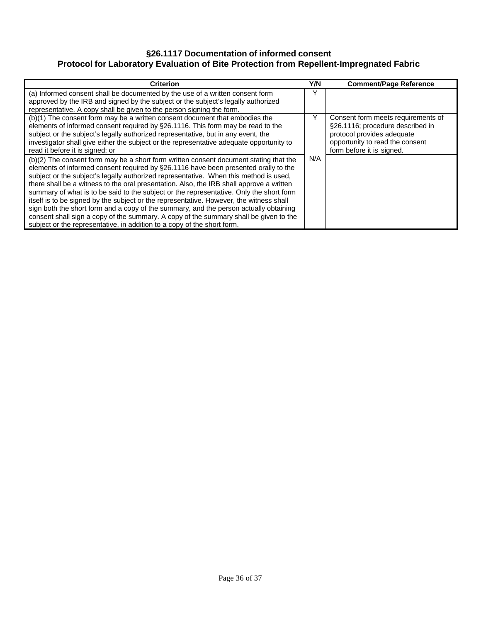## **§26.1117 Documentation of informed consent Protocol for Laboratory Evaluation of Bite Protection from Repellent-Impregnated Fabric**

| <b>Criterion</b>                                                                                                                                                                                                                                                                                                                                                                                                                                                                                                                                                                                                                                                                                                                                                                                                     | Y/N | <b>Comment/Page Reference</b>                                                                                                                                        |
|----------------------------------------------------------------------------------------------------------------------------------------------------------------------------------------------------------------------------------------------------------------------------------------------------------------------------------------------------------------------------------------------------------------------------------------------------------------------------------------------------------------------------------------------------------------------------------------------------------------------------------------------------------------------------------------------------------------------------------------------------------------------------------------------------------------------|-----|----------------------------------------------------------------------------------------------------------------------------------------------------------------------|
| (a) Informed consent shall be documented by the use of a written consent form<br>approved by the IRB and signed by the subject or the subject's legally authorized<br>representative. A copy shall be given to the person signing the form.                                                                                                                                                                                                                                                                                                                                                                                                                                                                                                                                                                          | Y   |                                                                                                                                                                      |
| (b)(1) The consent form may be a written consent document that embodies the<br>elements of informed consent required by §26.1116. This form may be read to the<br>subject or the subject's legally authorized representative, but in any event, the<br>investigator shall give either the subject or the representative adequate opportunity to<br>read it before it is signed; or                                                                                                                                                                                                                                                                                                                                                                                                                                   |     | Consent form meets requirements of<br>§26.1116; procedure described in<br>protocol provides adequate<br>opportunity to read the consent<br>form before it is signed. |
| (b)(2) The consent form may be a short form written consent document stating that the<br>elements of informed consent required by §26.1116 have been presented orally to the<br>subject or the subject's legally authorized representative. When this method is used,<br>there shall be a witness to the oral presentation. Also, the IRB shall approve a written<br>summary of what is to be said to the subject or the representative. Only the short form<br>itself is to be signed by the subject or the representative. However, the witness shall<br>sign both the short form and a copy of the summary, and the person actually obtaining<br>consent shall sign a copy of the summary. A copy of the summary shall be given to the<br>subject or the representative, in addition to a copy of the short form. | N/A |                                                                                                                                                                      |